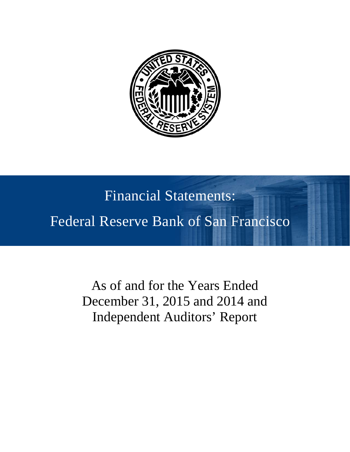

# Financial Statements: Federal Reserve Bank of San Francisco

As of and for the Years Ended December 31, 2015 and 2014 and Independent Auditors' Report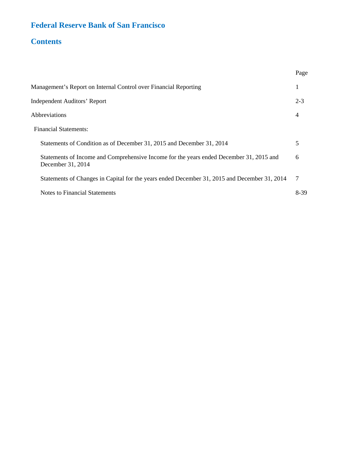## **Federal Reserve Bank of San Francisco**

## **Contents**

|                                                                                                              | Page    |
|--------------------------------------------------------------------------------------------------------------|---------|
| Management's Report on Internal Control over Financial Reporting                                             | 1       |
| <b>Independent Auditors' Report</b>                                                                          | $2 - 3$ |
| Abbreviations                                                                                                | 4       |
| <b>Financial Statements:</b>                                                                                 |         |
| Statements of Condition as of December 31, 2015 and December 31, 2014                                        | 5       |
| Statements of Income and Comprehensive Income for the years ended December 31, 2015 and<br>December 31, 2014 | 6       |
| Statements of Changes in Capital for the years ended December 31, 2015 and December 31, 2014                 | 7       |
| <b>Notes to Financial Statements</b>                                                                         | 8-39    |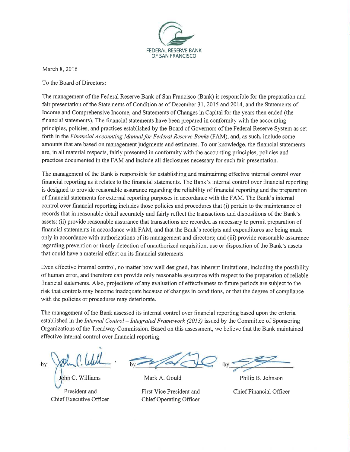

March 8, 2016

To the Board of Directors:

The management of the Federal Reserve Bank of San Francisco (Bank) is responsible for the preparation and fair presentation of the Statements of Condition as of December 31, 2015 and 2014, and the Statements of Income and Comprehensive Income, and Statements of Changes in Capital for the years then ended (the financial statements). The financial statements have been prepared in conformity with the accounting principles, policies, and practices established by the Board of Governors of the Federal Reserve System as set forth in the Financial Accounting Manual for Federal Reserve Banks (FAM), and, as such, include some amounts that are based on management judgments and estimates. To our knowledge, the financial statements are, in all material respects, fairly presented in conformity with the accounting principles, policies and practices documented in the FAM and include all disclosures necessary for such fair presentation.

The management of the Bank is responsible for establishing and maintaining effective internal control over financial reporting as it relates to the financial statements. The Bank's internal control over financial reporting is designed to provide reasonable assurance regarding the reliability of financial reporting and the preparation of financial statements for external reporting purposes in accordance with the FAM. The Bank's internal control over financial reporting includes those policies and procedures that (i) pertain to the maintenance of records that in reasonable detail accurately and fairly reflect the transactions and dispositions of the Bank's assets; (ii) provide reasonable assurance that transactions are recorded as necessary to permit preparation of financial statements in accordance with FAM, and that the Bank's receipts and expenditures are being made only in accordance with authorizations of its management and directors; and (iii) provide reasonable assurance regarding prevention or timely detection of unauthorized acquisition, use or disposition of the Bank's assets that could have a material effect on its financial statements.

Even effective internal control, no matter how well designed, has inherent limitations, including the possibility of human error, and therefore can provide only reasonable assurance with respect to the preparation of reliable financial statements. Also, projections of any evaluation of effectiveness to future periods are subject to the risk that controls may become inadequate because of changes in conditions, or that the degree of compliance with the policies or procedures may deteriorate.

The management of the Bank assessed its internal control over financial reporting based upon the criteria established in the Internal Control – Integrated Framework (2013) issued by the Committee of Sponsoring Organizations of the Treadway Commission. Based on this assessment, we believe that the Bank maintained effective internal control over financial reporting.

ohn C. Williams

President and Chief Executive Officer

Mark A. Gould

First Vice President and **Chief Operating Officer** 

Philip B. Johnson **Chief Financial Officer**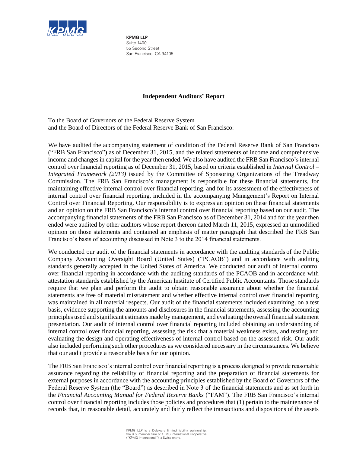

**KPMG LLP** Suite 1400 55 Second Street San Francisco, CA 94105

#### **Independent Auditors' Report**

To the Board of Governors of the Federal Reserve System and the Board of Directors of the Federal Reserve Bank of San Francisco:

We have audited the accompanying statement of condition of the Federal Reserve Bank of San Francisco ("FRB San Francisco") as of December 31, 2015, and the related statements of income and comprehensive income and changes in capital for the year then ended. We also have audited the FRB San Francisco's internal control over financial reporting as of December 31, 2015, based on criteria established in *Internal Control – Integrated Framework (2013)* issued by the Committee of Sponsoring Organizations of the Treadway Commission. The FRB San Francisco's management is responsible for these financial statements, for maintaining effective internal control over financial reporting, and for its assessment of the effectiveness of internal control over financial reporting, included in the accompanying Management's Report on Internal Control over Financial Reporting. Our responsibility is to express an opinion on these financial statements and an opinion on the FRB San Francisco's internal control over financial reporting based on our audit. The accompanying financial statements of the FRB San Francisco as of December 31, 2014 and for the year then ended were audited by other auditors whose report thereon dated March 11, 2015, expressed an unmodified opinion on those statements and contained an emphasis of matter paragraph that described the FRB San Francisco's basis of accounting discussed in Note 3 to the 2014 financial statements.

We conducted our audit of the financial statements in accordance with the auditing standards of the Public Company Accounting Oversight Board (United States) ("PCAOB") and in accordance with auditing standards generally accepted in the United States of America. We conducted our audit of internal control over financial reporting in accordance with the auditing standards of the PCAOB and in accordance with attestation standards established by the American Institute of Certified Public Accountants. Those standards require that we plan and perform the audit to obtain reasonable assurance about whether the financial statements are free of material misstatement and whether effective internal control over financial reporting was maintained in all material respects. Our audit of the financial statements included examining, on a test basis, evidence supporting the amounts and disclosures in the financial statements, assessing the accounting principles used and significant estimates made by management, and evaluating the overall financial statement presentation. Our audit of internal control over financial reporting included obtaining an understanding of internal control over financial reporting, assessing the risk that a material weakness exists, and testing and evaluating the design and operating effectiveness of internal control based on the assessed risk. Our audit also included performing such other procedures as we considered necessary in the circumstances. We believe that our audit provide a reasonable basis for our opinion.

The FRB San Francisco's internal control over financial reporting is a process designed to provide reasonable assurance regarding the reliability of financial reporting and the preparation of financial statements for external purposes in accordance with the accounting principles established by the Board of Governors of the Federal Reserve System (the "Board") as described in Note 3 of the financial statements and as set forth in the *Financial Accounting Manual for Federal Reserve Banks* ("FAM"). The FRB San Francisco's internal control over financial reporting includes those policies and procedures that (1) pertain to the maintenance of records that, in reasonable detail, accurately and fairly reflect the transactions and dispositions of the assets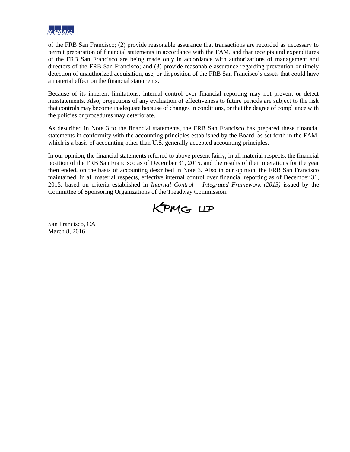

of the FRB San Francisco; (2) provide reasonable assurance that transactions are recorded as necessary to permit preparation of financial statements in accordance with the FAM, and that receipts and expenditures of the FRB San Francisco are being made only in accordance with authorizations of management and directors of the FRB San Francisco; and (3) provide reasonable assurance regarding prevention or timely detection of unauthorized acquisition, use, or disposition of the FRB San Francisco's assets that could have a material effect on the financial statements.

Because of its inherent limitations, internal control over financial reporting may not prevent or detect misstatements. Also, projections of any evaluation of effectiveness to future periods are subject to the risk that controls may become inadequate because of changes in conditions, or that the degree of compliance with the policies or procedures may deteriorate.

As described in Note 3 to the financial statements, the FRB San Francisco has prepared these financial statements in conformity with the accounting principles established by the Board, as set forth in the FAM, which is a basis of accounting other than U.S. generally accepted accounting principles.

In our opinion, the financial statements referred to above present fairly, in all material respects, the financial position of the FRB San Francisco as of December 31, 2015, and the results of their operations for the year then ended, on the basis of accounting described in Note 3. Also in our opinion, the FRB San Francisco maintained, in all material respects, effective internal control over financial reporting as of December 31, 2015, based on criteria established in *Internal Control – Integrated Framework (2013)* issued by the Committee of Sponsoring Organizations of the Treadway Commission.



San Francisco, CA March 8, 2016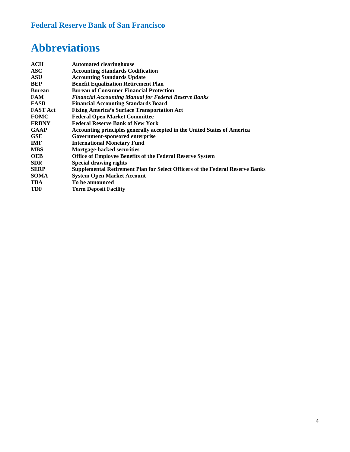## **Federal Reserve Bank of San Francisco**

## **Abbreviations**

| <b>Automated clearinghouse</b>                                                       |
|--------------------------------------------------------------------------------------|
| <b>Accounting Standards Codification</b>                                             |
| <b>Accounting Standards Update</b>                                                   |
| <b>Benefit Equalization Retirement Plan</b>                                          |
| <b>Bureau of Consumer Financial Protection</b>                                       |
| <b>Financial Accounting Manual for Federal Reserve Banks</b>                         |
| <b>Financial Accounting Standards Board</b>                                          |
| <b>Fixing America's Surface Transportation Act</b>                                   |
| <b>Federal Open Market Committee</b>                                                 |
| <b>Federal Reserve Bank of New York</b>                                              |
| Accounting principles generally accepted in the United States of America             |
| Government-sponsored enterprise                                                      |
| <b>International Monetary Fund</b>                                                   |
| <b>Mortgage-backed securities</b>                                                    |
| Office of Employee Benefits of the Federal Reserve System                            |
| <b>Special drawing rights</b>                                                        |
| <b>Supplemental Retirement Plan for Select Officers of the Federal Reserve Banks</b> |
| <b>System Open Market Account</b>                                                    |
| To be announced                                                                      |
| <b>Term Deposit Facility</b>                                                         |
|                                                                                      |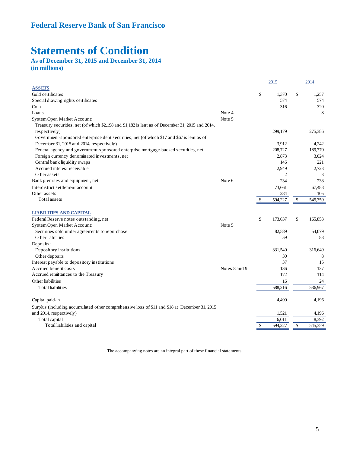## **Statements of Condition**

**As of December 31, 2015 and December 31, 2014 (in millions)**

|                                                                                                                   |               |              | 2015           |              | 2014    |
|-------------------------------------------------------------------------------------------------------------------|---------------|--------------|----------------|--------------|---------|
| <b>ASSETS</b>                                                                                                     |               |              |                |              |         |
| Gold certificates                                                                                                 |               | \$           | 1.370          | $\mathbb{S}$ | 1,257   |
| Special drawing rights certificates                                                                               |               |              | 574            |              | 574     |
| Coin                                                                                                              |               |              | 316            |              | 320     |
| Loans                                                                                                             | Note 4        |              |                |              | 8       |
| System Open Market Account:                                                                                       | Note 5        |              |                |              |         |
| Treasury securities, net (of which \$2,198 and \$1,182 is lent as of December 31, 2015 and 2014,<br>respectively) |               |              | 299,179        |              | 275,386 |
| Government-sponsored enterprise debt securities, net (of which \$17 and \$67 is lent as of                        |               |              |                |              |         |
| December 31, 2015 and 2014, respectively)                                                                         |               |              | 3,912          |              | 4.242   |
| Federal agency and government-sponsored enterprise mortgage-backed securities, net                                |               |              | 208,727        |              | 189,770 |
| Foreign currency denominated investments, net                                                                     |               |              | 2,873          |              | 3,024   |
| Central bank liquidity swaps                                                                                      |               |              | 146            |              | 221     |
| Accrued interest receivable                                                                                       |               |              | 2,949          |              | 2,723   |
| Other assets                                                                                                      |               |              | $\overline{2}$ |              | 3       |
| Bank premises and equipment, net                                                                                  | Note 6        |              | 234            |              | 238     |
| Interdistrict settlement account                                                                                  |               |              | 73,661         |              | 67,488  |
| Other assets                                                                                                      |               |              | 284            |              | 105     |
| Total assets                                                                                                      |               | $\mathbb{S}$ | 594,227        | $\mathbb{S}$ | 545,359 |
| <b>LIABILITIES AND CAPITAL</b>                                                                                    |               |              |                |              |         |
| Federal Reserve notes outstanding, net                                                                            |               | \$           | 173,637        | \$           | 165,853 |
| System Open Market Account:                                                                                       | Note 5        |              |                |              |         |
| Securities sold under agreements to repurchase                                                                    |               |              | 82,589         |              | 54,079  |
| Other liabilities                                                                                                 |               |              | 59             |              | 88      |
| Deposits:                                                                                                         |               |              |                |              |         |
| Depository institutions                                                                                           |               |              | 331,540        |              | 316,649 |
| Other deposits                                                                                                    |               |              | 30             |              | 8       |
| Interest payable to depository institutions                                                                       |               |              | 37             |              | 15      |
| Accrued benefit costs                                                                                             | Notes 8 and 9 |              | 136            |              | 137     |
| Accrued remittances to the Treasury                                                                               |               |              | 172            |              | 114     |
| Other liabilities                                                                                                 |               |              | 16             |              | 24      |
| <b>Total liabilities</b>                                                                                          |               |              | 588,216        |              | 536,967 |
| Capital paid-in                                                                                                   |               |              | 4,490          |              | 4,196   |
| Surplus (including accumulated other comprehensive loss of \$11 and \$18 at December 31, 2015                     |               |              |                |              |         |
| and 2014, respectively)                                                                                           |               |              | 1,521          |              | 4,196   |
| Total capital                                                                                                     |               |              | 6.011          |              | 8,392   |
| Total liabilities and capital                                                                                     |               | $\mathbb{S}$ | 594,227        | $\mathbb{S}$ | 545,359 |

The accompanying notes are an integral part of these financial statements.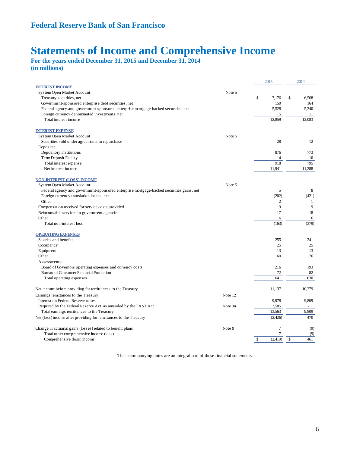## **Statements of Income and Comprehensive Income**

**For the years ended December 31, 2015 and December 31, 2014 (in millions)** 

|                                                                                          |         | 2015           | 2014                  |
|------------------------------------------------------------------------------------------|---------|----------------|-----------------------|
| <b>INTEREST INCOME</b>                                                                   |         |                |                       |
| System Open Market Account:                                                              | Note 5  |                |                       |
| Treasury securities, net                                                                 |         | \$<br>7.176    | $\mathbb{S}$<br>6.568 |
| Government-sponsored enterprise debt securities, net                                     |         | 150            | 164                   |
| Federal agency and government-sponsored enterprise mortgage-backed securities, net       |         | 5,528          | 5,340                 |
| Foreign currency denominated investments, net                                            |         | 5              | 11                    |
| Total interest income                                                                    |         | 12,859         | 12.083                |
| <b>INTEREST EXPENSE</b>                                                                  |         |                |                       |
| System Open Market Account:                                                              | Note 5  |                |                       |
| Securities sold under agreements to repurchase                                           |         | 28             | 12                    |
| Deposits:                                                                                |         |                |                       |
| Depository institutions                                                                  |         | 876            | 773                   |
| Term Deposit Facility                                                                    |         | 14             | 10                    |
| Total interest expense                                                                   |         | 918            | 795                   |
| Net interest income                                                                      |         | 11,941         | 11,288                |
|                                                                                          |         |                |                       |
| <b>NON-INTEREST (LOSS) INCOME</b><br>System Open Market Account:                         | Note 5  |                |                       |
| Federal agency and government-sponsored enterprise mortgage-backed securities gains, net |         | 5              | 8                     |
| Foreign currency translation losses, net                                                 |         | (202)          | (421)                 |
| Other                                                                                    |         | $\overline{2}$ | 1                     |
| Compensation received for service costs provided                                         |         | 9              | 9                     |
|                                                                                          |         | 17             | 18                    |
| Reimbursable services to government agencies                                             |         |                |                       |
| Other<br>Total non-interest loss                                                         |         | 6<br>(163)     | 6<br>(379)            |
|                                                                                          |         |                |                       |
| <b>OPERATING EXPENSES</b>                                                                |         |                |                       |
| Salaries and benefits                                                                    |         | 255            | 241                   |
| Occupancy                                                                                |         | 25             | 25                    |
| Equipment                                                                                |         | 13             | 13                    |
| Other                                                                                    |         | 60             | 76                    |
| Assessments:                                                                             |         |                |                       |
| Board of Governors operating expenses and currency costs                                 |         | 216            | 193                   |
| Bureau of Consumer Financial Protection                                                  |         | 72             | 82                    |
| Total operating expenses                                                                 |         | 641            | 630                   |
| Net income before providing for remittances to the Treasury                              |         | 11,137         | 10,279                |
| Earnings remittances to the Treasury:                                                    | Note 12 |                |                       |
| Interest on Federal Reserve notes                                                        |         | 9,978          | 9.809                 |
| Required by the Federal Reserve Act, as amended by the FAST Act                          | Note 3n | 3,585          |                       |
| Total earnings remittances to the Treasury                                               |         | 13,563         | 9.809                 |
| Net (loss) income after providing for remittances to the Treasury                        |         | (2, 426)       | 470                   |
|                                                                                          |         |                |                       |
| Change in actuarial gains (losses) related to benefit plans                              | Note 9  | 7              | (9)                   |
| Total other comprehensive income (loss)                                                  |         | $\overline{7}$ | (9)                   |
| Comprehensive (loss) income                                                              |         | \$<br>(2, 419) | $\$$<br>461           |

The accompanying notes are an integral part of these financial statements.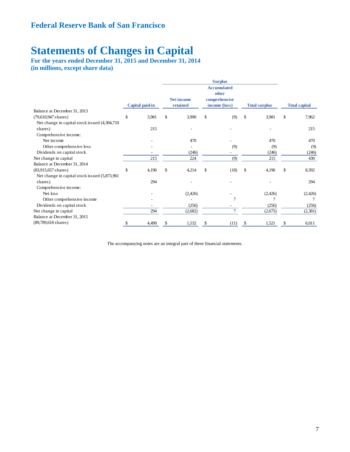## **Statements of Changes in Capital**

**For the years ended December 31, 2015 and December 31, 2014 (in millions, except share data)** 

|                                                | <b>Surplus</b>  |    |                   |    |                                              |              |                      |    |                      |  |  |  |
|------------------------------------------------|-----------------|----|-------------------|----|----------------------------------------------|--------------|----------------------|----|----------------------|--|--|--|
|                                                |                 |    | <b>Net income</b> |    | <b>Accumulated</b><br>other<br>comprehensive |              |                      |    |                      |  |  |  |
|                                                | Capital paid-in |    | retained          |    | income (loss)                                |              | <b>Total surplus</b> |    | <b>Total capital</b> |  |  |  |
| Balance at December 31, 2013                   |                 |    |                   |    |                                              |              |                      |    |                      |  |  |  |
| $(79,610,947 \text{ shares})$                  | \$<br>3,981     | \$ | 3,990             | \$ | (9)                                          | \$           | 3,981                | \$ | 7,962                |  |  |  |
| Net change in capital stock issued (4,304,710) |                 |    |                   |    |                                              |              |                      |    |                      |  |  |  |
| shares)                                        | 215             |    |                   |    |                                              |              |                      |    | 215                  |  |  |  |
| Comprehensive income:                          |                 |    |                   |    |                                              |              |                      |    |                      |  |  |  |
| Net income                                     |                 |    | 470               |    |                                              |              | 470                  |    | 470                  |  |  |  |
| Other comprehensive loss                       |                 |    |                   |    | (9)                                          |              | (9)                  |    | (9)                  |  |  |  |
| Dividends on capital stock                     |                 |    | (246)             |    |                                              |              | (246)                |    | (246)                |  |  |  |
| Net change in capital                          | 215             |    | 224               |    | (9)                                          |              | 215                  |    | 430                  |  |  |  |
| Balance at December 31, 2014                   |                 |    |                   |    |                                              |              |                      |    |                      |  |  |  |
| $(83,915,657 \text{ shares})$                  | \$<br>4,196     | \$ | 4,214             | \$ | (18)                                         | $\mathbb{S}$ | 4,196                | \$ | 8,392                |  |  |  |
| Net change in capital stock issued (5,873,961) |                 |    |                   |    |                                              |              |                      |    |                      |  |  |  |
| shares)                                        | 294             |    |                   |    |                                              |              |                      |    | 294                  |  |  |  |
| Comprehensive income:                          |                 |    |                   |    |                                              |              |                      |    |                      |  |  |  |
| Net loss                                       |                 |    | (2,426)           |    |                                              |              | (2,426)              |    | (2, 426)             |  |  |  |
| Other comprehensive income                     |                 |    |                   |    | 7                                            |              |                      |    |                      |  |  |  |
| Dividends on capital stock                     |                 |    | (256)             |    |                                              |              | (256)                |    | (256)                |  |  |  |
| Net change in capital                          | 294             |    | (2,682)           |    | 7                                            |              | (2,675)              |    | (2,381)              |  |  |  |
| Balance at December 31, 2015                   |                 |    |                   |    |                                              |              |                      |    |                      |  |  |  |
| $(89,789,618 \text{ shares})$                  | 4,490           |    | 1,532             | \$ | (11)                                         |              | 1,521                | S  | 6,011                |  |  |  |

The accompanying notes are an integral part of these financial statements.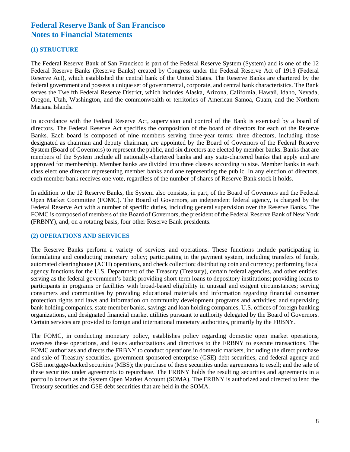#### **(1) STRUCTURE**

The Federal Reserve Bank of San Francisco is part of the Federal Reserve System (System) and is one of the 12 Federal Reserve Banks (Reserve Banks) created by Congress under the Federal Reserve Act of 1913 (Federal Reserve Act), which established the central bank of the United States. The Reserve Banks are chartered by the federal government and possess a unique set of governmental, corporate, and central bank characteristics. The Bank serves the Twelfth Federal Reserve District, which includes Alaska, Arizona, California, Hawaii, Idaho, Nevada, Oregon, Utah, Washington, and the commonwealth or territories of American Samoa, Guam, and the Northern Mariana Islands.

In accordance with the Federal Reserve Act, supervision and control of the Bank is exercised by a board of directors. The Federal Reserve Act specifies the composition of the board of directors for each of the Reserve Banks. Each board is composed of nine members serving three-year terms: three directors, including those designated as chairman and deputy chairman, are appointed by the Board of Governors of the Federal Reserve System (Board of Governors) to represent the public, and six directors are elected by member banks. Banks that are members of the System include all nationally-chartered banks and any state-chartered banks that apply and are approved for membership. Member banks are divided into three classes according to size. Member banks in each class elect one director representing member banks and one representing the public. In any election of directors, each member bank receives one vote, regardless of the number of shares of Reserve Bank stock it holds.

In addition to the 12 Reserve Banks, the System also consists, in part, of the Board of Governors and the Federal Open Market Committee (FOMC). The Board of Governors, an independent federal agency, is charged by the Federal Reserve Act with a number of specific duties, including general supervision over the Reserve Banks. The FOMC is composed of members of the Board of Governors, the president of the Federal Reserve Bank of New York (FRBNY), and, on a rotating basis, four other Reserve Bank presidents.

#### **(2) OPERATIONS AND SERVICES**

The Reserve Banks perform a variety of services and operations. These functions include participating in formulating and conducting monetary policy; participating in the payment system, including transfers of funds, automated clearinghouse (ACH) operations, and check collection; distributing coin and currency; performing fiscal agency functions for the U.S. Department of the Treasury (Treasury), certain federal agencies, and other entities; serving as the federal government's bank; providing short-term loans to depository institutions; providing loans to participants in programs or facilities with broad-based eligibility in unusual and exigent circumstances; serving consumers and communities by providing educational materials and information regarding financial consumer protection rights and laws and information on community development programs and activities; and supervising bank holding companies, state member banks, savings and loan holding companies, U.S. offices of foreign banking organizations, and designated financial market utilities pursuant to authority delegated by the Board of Governors. Certain services are provided to foreign and international monetary authorities, primarily by the FRBNY.

The FOMC, in conducting monetary policy, establishes policy regarding domestic open market operations, oversees these operations, and issues authorizations and directives to the FRBNY to execute transactions. The FOMC authorizes and directs the FRBNY to conduct operations in domestic markets, including the direct purchase and sale of Treasury securities, government-sponsored enterprise (GSE) debt securities, and federal agency and GSE mortgage-backed securities (MBS); the purchase of these securities under agreements to resell; and the sale of these securities under agreements to repurchase. The FRBNY holds the resulting securities and agreements in a portfolio known as the System Open Market Account (SOMA). The FRBNY is authorized and directed to lend the Treasury securities and GSE debt securities that are held in the SOMA.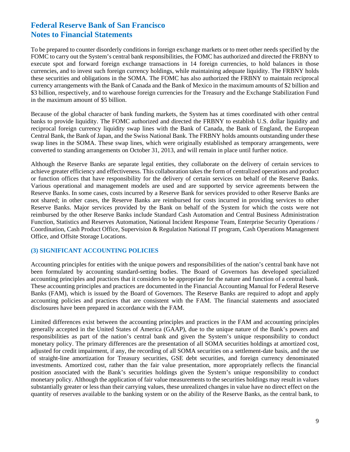To be prepared to counter disorderly conditions in foreign exchange markets or to meet other needs specified by the FOMC to carry out the System's central bank responsibilities, the FOMC has authorized and directed the FRBNY to execute spot and forward foreign exchange transactions in 14 foreign currencies, to hold balances in those currencies, and to invest such foreign currency holdings, while maintaining adequate liquidity. The FRBNY holds these securities and obligations in the SOMA. The FOMC has also authorized the FRBNY to maintain reciprocal currency arrangements with the Bank of Canada and the Bank of Mexico in the maximum amounts of \$2 billion and \$3 billion, respectively, and to warehouse foreign currencies for the Treasury and the Exchange Stabilization Fund in the maximum amount of \$5 billion.

Because of the global character of bank funding markets, the System has at times coordinated with other central banks to provide liquidity. The FOMC authorized and directed the FRBNY to establish U.S. dollar liquidity and reciprocal foreign currency liquidity swap lines with the Bank of Canada, the Bank of England, the European Central Bank, the Bank of Japan, and the Swiss National Bank. The FRBNY holds amounts outstanding under these swap lines in the SOMA. These swap lines, which were originally established as temporary arrangements, were converted to standing arrangements on October 31, 2013, and will remain in place until further notice.

Although the Reserve Banks are separate legal entities, they collaborate on the delivery of certain services to achieve greater efficiency and effectiveness. This collaboration takes the form of centralized operations and product or function offices that have responsibility for the delivery of certain services on behalf of the Reserve Banks. Various operational and management models are used and are supported by service agreements between the Reserve Banks. In some cases, costs incurred by a Reserve Bank for services provided to other Reserve Banks are not shared; in other cases, the Reserve Banks are reimbursed for costs incurred in providing services to other Reserve Banks. Major services provided by the Bank on behalf of the System for which the costs were not reimbursed by the other Reserve Banks include Standard Cash Automation and Central Business Administration Function, Statistics and Reserves Automation, National Incident Response Team, Enterprise Security Operations / Coordination, Cash Product Office, Supervision & Regulation National IT program, Cash Operations Management Office, and Offsite Storage Locations.

#### **(3) SIGNIFICANT ACCOUNTING POLICIES**

Accounting principles for entities with the unique powers and responsibilities of the nation's central bank have not been formulated by accounting standard-setting bodies. The Board of Governors has developed specialized accounting principles and practices that it considers to be appropriate for the nature and function of a central bank. These accounting principles and practices are documented in the Financial Accounting Manual for Federal Reserve Banks (FAM), which is issued by the Board of Governors. The Reserve Banks are required to adopt and apply accounting policies and practices that are consistent with the FAM. The financial statements and associated disclosures have been prepared in accordance with the FAM.

Limited differences exist between the accounting principles and practices in the FAM and accounting principles generally accepted in the United States of America (GAAP), due to the unique nature of the Bank's powers and responsibilities as part of the nation's central bank and given the System's unique responsibility to conduct monetary policy. The primary differences are the presentation of all SOMA securities holdings at amortized cost, adjusted for credit impairment, if any, the recording of all SOMA securities on a settlement-date basis, and the use of straight-line amortization for Treasury securities, GSE debt securities, and foreign currency denominated investments. Amortized cost, rather than the fair value presentation, more appropriately reflects the financial position associated with the Bank's securities holdings given the System's unique responsibility to conduct monetary policy. Although the application of fair value measurements to the securities holdings may result in values substantially greater or less than their carrying values, these unrealized changes in value have no direct effect on the quantity of reserves available to the banking system or on the ability of the Reserve Banks, as the central bank, to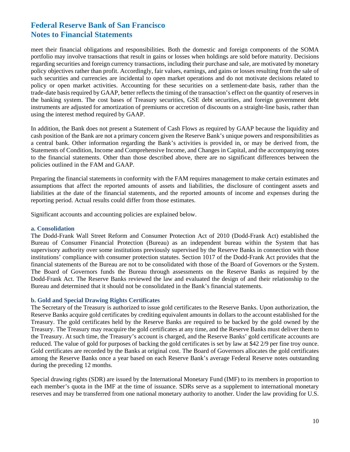meet their financial obligations and responsibilities. Both the domestic and foreign components of the SOMA portfolio may involve transactions that result in gains or losses when holdings are sold before maturity. Decisions regarding securities and foreign currency transactions, including their purchase and sale, are motivated by monetary policy objectives rather than profit. Accordingly, fair values, earnings, and gains or losses resulting from the sale of such securities and currencies are incidental to open market operations and do not motivate decisions related to policy or open market activities. Accounting for these securities on a settlement-date basis, rather than the trade-date basis required by GAAP, better reflects the timing of the transaction's effect on the quantity of reserves in the banking system. The cost bases of Treasury securities, GSE debt securities, and foreign government debt instruments are adjusted for amortization of premiums or accretion of discounts on a straight-line basis, rather than using the interest method required by GAAP.

In addition, the Bank does not present a Statement of Cash Flows as required by GAAP because the liquidity and cash position of the Bank are not a primary concern given the Reserve Bank's unique powers and responsibilities as a central bank. Other information regarding the Bank's activities is provided in, or may be derived from, the Statements of Condition, Income and Comprehensive Income, and Changes in Capital, and the accompanying notes to the financial statements. Other than those described above, there are no significant differences between the policies outlined in the FAM and GAAP.

Preparing the financial statements in conformity with the FAM requires management to make certain estimates and assumptions that affect the reported amounts of assets and liabilities, the disclosure of contingent assets and liabilities at the date of the financial statements, and the reported amounts of income and expenses during the reporting period. Actual results could differ from those estimates.

Significant accounts and accounting policies are explained below.

#### **a. Consolidation**

The Dodd-Frank Wall Street Reform and Consumer Protection Act of 2010 (Dodd-Frank Act) established the Bureau of Consumer Financial Protection (Bureau) as an independent bureau within the System that has supervisory authority over some institutions previously supervised by the Reserve Banks in connection with those institutions' compliance with consumer protection statutes. Section 1017 of the Dodd-Frank Act provides that the financial statements of the Bureau are not to be consolidated with those of the Board of Governors or the System. The Board of Governors funds the Bureau through assessments on the Reserve Banks as required by the Dodd-Frank Act. The Reserve Banks reviewed the law and evaluated the design of and their relationship to the Bureau and determined that it should not be consolidated in the Bank's financial statements.

#### **b. Gold and Special Drawing Rights Certificates**

The Secretary of the Treasury is authorized to issue gold certificates to the Reserve Banks. Upon authorization, the Reserve Banks acquire gold certificates by crediting equivalent amounts in dollars to the account established for the Treasury. The gold certificates held by the Reserve Banks are required to be backed by the gold owned by the Treasury. The Treasury may reacquire the gold certificates at any time, and the Reserve Banks must deliver them to the Treasury. At such time, the Treasury's account is charged, and the Reserve Banks' gold certificate accounts are reduced. The value of gold for purposes of backing the gold certificates is set by law at \$42 2/9 per fine troy ounce. Gold certificates are recorded by the Banks at original cost. The Board of Governors allocates the gold certificates among the Reserve Banks once a year based on each Reserve Bank's average Federal Reserve notes outstanding during the preceding 12 months.

Special drawing rights (SDR) are issued by the International Monetary Fund (IMF) to its members in proportion to each member's quota in the IMF at the time of issuance. SDRs serve as a supplement to international monetary reserves and may be transferred from one national monetary authority to another. Under the law providing for U.S.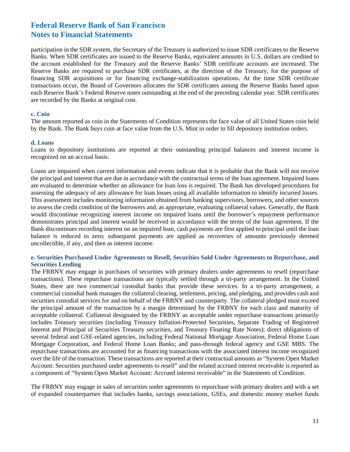participation in the SDR system, the Secretary of the Treasury is authorized to issue SDR certificates to the Reserve Banks. When SDR certificates are issued to the Reserve Banks, equivalent amounts in U.S. dollars are credited to the account established for the Treasury and the Reserve Banks' SDR certificate accounts are increased. The Reserve Banks are required to purchase SDR certificates, at the direction of the Treasury, for the purpose of financing SDR acquisitions or for financing exchange-stabilization operations. At the time SDR certificate transactions occur, the Board of Governors allocates the SDR certificates among the Reserve Banks based upon each Reserve Bank's Federal Reserve notes outstanding at the end of the preceding calendar year. SDR certificates are recorded by the Banks at original cost.

#### **c. Coin**

The amount reported as coin in the Statements of Condition represents the face value of all United States coin held by the Bank. The Bank buys coin at face value from the U.S. Mint in order to fill depository institution orders.

#### **d. Loans**

Loans to depository institutions are reported at their outstanding principal balances and interest income is recognized on an accrual basis.

Loans are impaired when current information and events indicate that it is probable that the Bank will not receive the principal and interest that are due in accordance with the contractual terms of the loan agreement. Impaired loans are evaluated to determine whether an allowance for loan loss is required. The Bank has developed procedures for assessing the adequacy of any allowance for loan losses using all available information to identify incurred losses. This assessment includes monitoring information obtained from banking supervisors, borrowers, and other sources to assess the credit condition of the borrowers and, as appropriate, evaluating collateral values. Generally, the Bank would discontinue recognizing interest income on impaired loans until the borrower's repayment performance demonstrates principal and interest would be received in accordance with the terms of the loan agreement. If the Bank discontinues recording interest on an impaired loan, cash payments are first applied to principal until the loan balance is reduced to zero; subsequent payments are applied as recoveries of amounts previously deemed uncollectible, if any, and then as interest income.

#### **e. Securities Purchased Under Agreements to Resell, Securities Sold Under Agreements to Repurchase, and Securities Lending**

The FRBNY may engage in purchases of securities with primary dealers under agreements to resell (repurchase transactions). These repurchase transactions are typically settled through a tri-party arrangement. In the United States, there are two commercial custodial banks that provide these services. In a tri-party arrangement, a commercial custodial bank manages the collateral clearing, settlement, pricing, and pledging, and provides cash and securities custodial services for and on behalf of the FRBNY and counterparty. The collateral pledged must exceed the principal amount of the transaction by a margin determined by the FRBNY for each class and maturity of acceptable collateral. Collateral designated by the FRBNY as acceptable under repurchase transactions primarily includes Treasury securities (including Treasury Inflation-Protected Securities, Separate Trading of Registered Interest and Principal of Securities Treasury securities, and Treasury Floating Rate Notes); direct obligations of several federal and GSE-related agencies, including Federal National Mortgage Association, Federal Home Loan Mortgage Corporation, and Federal Home Loan Banks; and pass-through federal agency and GSE MBS. The repurchase transactions are accounted for as financing transactions with the associated interest income recognized over the life of the transaction. These transactions are reported at their contractual amounts as "System Open Market Account: Securities purchased under agreements to resell" and the related accrued interest receivable is reported as a component of "System Open Market Account: Accrued interest receivable" in the Statements of Condition.

The FRBNY may engage in sales of securities under agreements to repurchase with primary dealers and with a set of expanded counterparties that includes banks, savings associations, GSEs, and domestic money market funds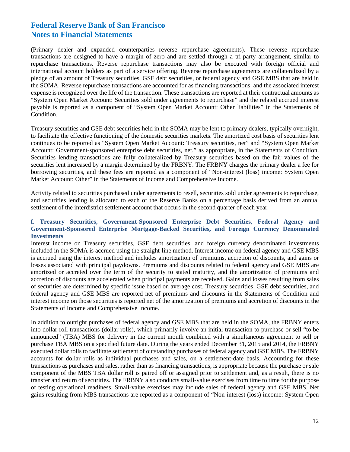(Primary dealer and expanded counterparties reverse repurchase agreements). These reverse repurchase transactions are designed to have a margin of zero and are settled through a tri-party arrangement, similar to repurchase transactions. Reverse repurchase transactions may also be executed with foreign official and international account holders as part of a service offering. Reverse repurchase agreements are collateralized by a pledge of an amount of Treasury securities, GSE debt securities, or federal agency and GSE MBS that are held in the SOMA. Reverse repurchase transactions are accounted for as financing transactions, and the associated interest expense is recognized over the life of the transaction. These transactions are reported at their contractual amounts as "System Open Market Account: Securities sold under agreements to repurchase" and the related accrued interest payable is reported as a component of "System Open Market Account: Other liabilities" in the Statements of Condition.

Treasury securities and GSE debt securities held in the SOMA may be lent to primary dealers, typically overnight, to facilitate the effective functioning of the domestic securities markets. The amortized cost basis of securities lent continues to be reported as "System Open Market Account: Treasury securities, net" and "System Open Market Account: Government-sponsored enterprise debt securities, net," as appropriate, in the Statements of Condition. Securities lending transactions are fully collateralized by Treasury securities based on the fair values of the securities lent increased by a margin determined by the FRBNY. The FRBNY charges the primary dealer a fee for borrowing securities, and these fees are reported as a component of "Non-interest (loss) income: System Open Market Account: Other" in the Statements of Income and Comprehensive Income.

Activity related to securities purchased under agreements to resell, securities sold under agreements to repurchase, and securities lending is allocated to each of the Reserve Banks on a percentage basis derived from an annual settlement of the interdistrict settlement account that occurs in the second quarter of each year.

#### **f. Treasury Securities, Government-Sponsored Enterprise Debt Securities, Federal Agency and Government-Sponsored Enterprise Mortgage-Backed Securities, and Foreign Currency Denominated Investments**

Interest income on Treasury securities, GSE debt securities, and foreign currency denominated investments included in the SOMA is accrued using the straight-line method. Interest income on federal agency and GSE MBS is accrued using the interest method and includes amortization of premiums, accretion of discounts, and gains or losses associated with principal paydowns. Premiums and discounts related to federal agency and GSE MBS are amortized or accreted over the term of the security to stated maturity, and the amortization of premiums and accretion of discounts are accelerated when principal payments are received. Gains and losses resulting from sales of securities are determined by specific issue based on average cost. Treasury securities, GSE debt securities, and federal agency and GSE MBS are reported net of premiums and discounts in the Statements of Condition and interest income on those securities is reported net of the amortization of premiums and accretion of discounts in the Statements of Income and Comprehensive Income.

In addition to outright purchases of federal agency and GSE MBS that are held in the SOMA, the FRBNY enters into dollar roll transactions (dollar rolls), which primarily involve an initial transaction to purchase or sell "to be announced" (TBA) MBS for delivery in the current month combined with a simultaneous agreement to sell or purchase TBA MBS on a specified future date. During the years ended December 31, 2015 and 2014, the FRBNY executed dollar rolls to facilitate settlement of outstanding purchases of federal agency and GSE MBS. The FRBNY accounts for dollar rolls as individual purchases and sales, on a settlement-date basis. Accounting for these transactions as purchases and sales, rather than as financing transactions, is appropriate because the purchase or sale component of the MBS TBA dollar roll is paired off or assigned prior to settlement and, as a result, there is no transfer and return of securities. The FRBNY also conducts small-value exercises from time to time for the purpose of testing operational readiness. Small-value exercises may include sales of federal agency and GSE MBS. Net gains resulting from MBS transactions are reported as a component of "Non-interest (loss) income: System Open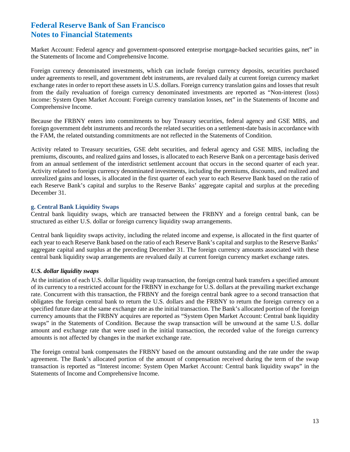Market Account: Federal agency and government-sponsored enterprise mortgage-backed securities gains, net" in the Statements of Income and Comprehensive Income.

Foreign currency denominated investments, which can include foreign currency deposits, securities purchased under agreements to resell, and government debt instruments, are revalued daily at current foreign currency market exchange rates in order to report these assets in U.S. dollars. Foreign currency translation gains and losses that result from the daily revaluation of foreign currency denominated investments are reported as "Non-interest (loss) income: System Open Market Account: Foreign currency translation losses, net" in the Statements of Income and Comprehensive Income.

Because the FRBNY enters into commitments to buy Treasury securities, federal agency and GSE MBS, and foreign government debt instruments and records the related securities on a settlement-date basis in accordance with the FAM, the related outstanding commitments are not reflected in the Statements of Condition.

Activity related to Treasury securities, GSE debt securities, and federal agency and GSE MBS, including the premiums, discounts, and realized gains and losses, is allocated to each Reserve Bank on a percentage basis derived from an annual settlement of the interdistrict settlement account that occurs in the second quarter of each year. Activity related to foreign currency denominated investments, including the premiums, discounts, and realized and unrealized gains and losses, is allocated in the first quarter of each year to each Reserve Bank based on the ratio of each Reserve Bank's capital and surplus to the Reserve Banks' aggregate capital and surplus at the preceding December 31.

#### **g. Central Bank Liquidity Swaps**

Central bank liquidity swaps, which are transacted between the FRBNY and a foreign central bank, can be structured as either U.S. dollar or foreign currency liquidity swap arrangements.

Central bank liquidity swaps activity, including the related income and expense, is allocated in the first quarter of each year to each Reserve Bank based on the ratio of each Reserve Bank's capital and surplus to the Reserve Banks' aggregate capital and surplus at the preceding December 31. The foreign currency amounts associated with these central bank liquidity swap arrangements are revalued daily at current foreign currency market exchange rates.

#### *U.S. dollar liquidity swaps*

At the initiation of each U.S. dollar liquidity swap transaction, the foreign central bank transfers a specified amount of its currency to a restricted account for the FRBNY in exchange for U.S. dollars at the prevailing market exchange rate. Concurrent with this transaction, the FRBNY and the foreign central bank agree to a second transaction that obligates the foreign central bank to return the U.S. dollars and the FRBNY to return the foreign currency on a specified future date at the same exchange rate as the initial transaction. The Bank's allocated portion of the foreign currency amounts that the FRBNY acquires are reported as "System Open Market Account: Central bank liquidity swaps" in the Statements of Condition. Because the swap transaction will be unwound at the same U.S. dollar amount and exchange rate that were used in the initial transaction, the recorded value of the foreign currency amounts is not affected by changes in the market exchange rate.

The foreign central bank compensates the FRBNY based on the amount outstanding and the rate under the swap agreement. The Bank's allocated portion of the amount of compensation received during the term of the swap transaction is reported as "Interest income: System Open Market Account: Central bank liquidity swaps" in the Statements of Income and Comprehensive Income.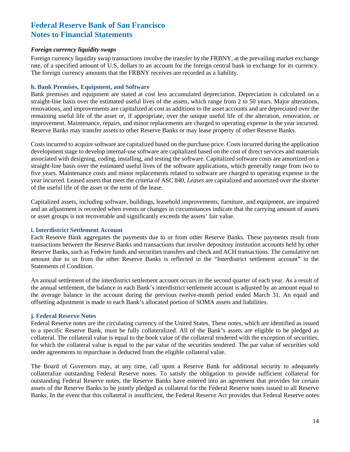#### *Foreign currency liquidity swaps*

Foreign currency liquidity swap transactions involve the transfer by the FRBNY*,* at the prevailing market exchange rate, of a specified amount of U.S. dollars to an account for the foreign central bank in exchange for its currency. The foreign currency amounts that the FRBNY receives are recorded as a liability.

#### **h. Bank Premises, Equipment, and Software**

Bank premises and equipment are stated at cost less accumulated depreciation. Depreciation is calculated on a straight-line basis over the estimated useful lives of the assets, which range from 2 to 50 years. Major alterations, renovations, and improvements are capitalized at cost as additions to the asset accounts and are depreciated over the remaining useful life of the asset or, if appropriate, over the unique useful life of the alteration, renovation, or improvement. Maintenance, repairs, and minor replacements are charged to operating expense in the year incurred. Reserve Banks may transfer assets to other Reserve Banks or may lease property of other Reserve Banks.

Costs incurred to acquire software are capitalized based on the purchase price. Costs incurred during the application development stage to develop internal-use software are capitalized based on the cost of direct services and materials associated with designing, coding, installing, and testing the software. Capitalized software costs are amortized on a straight-line basis over the estimated useful lives of the software applications, which generally range from two to five years. Maintenance costs and minor replacements related to software are charged to operating expense in the year incurred. Leased assets that meet the criteria of ASC 840, *Leases* are capitalized and amortized over the shorter of the useful life of the asset or the term of the lease.

Capitalized assets, including software, buildings, leasehold improvements, furniture, and equipment, are impaired and an adjustment is recorded when events or changes in circumstances indicate that the carrying amount of assets or asset groups is not recoverable and significantly exceeds the assets' fair value.

#### **i. Interdistrict Settlement Account**

Each Reserve Bank aggregates the payments due to or from other Reserve Banks. These payments result from transactions between the Reserve Banks and transactions that involve depository institution accounts held by other Reserve Banks, such as Fedwire funds and securities transfers and check and ACH transactions. The cumulative net amount due to or from the other Reserve Banks is reflected in the "Interdistrict settlement account" in the Statements of Condition.

An annual settlement of the interdistrict settlement account occurs in the second quarter of each year. As a result of the annual settlement, the balance in each Bank's interdistrict settlement account is adjusted by an amount equal to the average balance in the account during the previous twelve-month period ended March 31. An equal and offsetting adjustment is made to each Bank's allocated portion of SOMA assets and liabilities.

#### **j. Federal Reserve Notes**

Federal Reserve notes are the circulating currency of the United States. These notes, which are identified as issued to a specific Reserve Bank, must be fully collateralized. All of the Bank's assets are eligible to be pledged as collateral. The collateral value is equal to the book value of the collateral tendered with the exception of securities, for which the collateral value is equal to the par value of the securities tendered. The par value of securities sold under agreements to repurchase is deducted from the eligible collateral value.

The Board of Governors may, at any time, call upon a Reserve Bank for additional security to adequately collateralize outstanding Federal Reserve notes. To satisfy the obligation to provide sufficient collateral for outstanding Federal Reserve notes, the Reserve Banks have entered into an agreement that provides for certain assets of the Reserve Banks to be jointly pledged as collateral for the Federal Reserve notes issued to all Reserve Banks. In the event that this collateral is insufficient, the Federal Reserve Act provides that Federal Reserve notes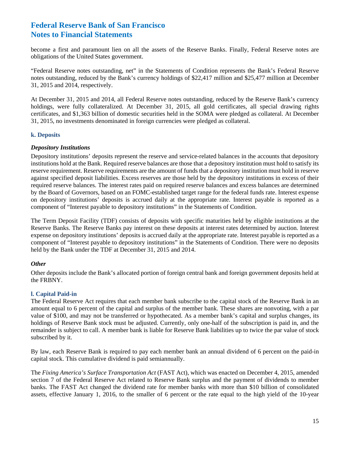become a first and paramount lien on all the assets of the Reserve Banks. Finally, Federal Reserve notes are obligations of the United States government.

"Federal Reserve notes outstanding, net" in the Statements of Condition represents the Bank's Federal Reserve notes outstanding, reduced by the Bank's currency holdings of \$22,417 million and \$25,477 million at December 31, 2015 and 2014, respectively.

At December 31, 2015 and 2014, all Federal Reserve notes outstanding, reduced by the Reserve Bank's currency holdings, were fully collateralized. At December 31, 2015, all gold certificates, all special drawing rights certificates, and \$1,363 billion of domestic securities held in the SOMA were pledged as collateral. At December 31, 2015, no investments denominated in foreign currencies were pledged as collateral.

#### **k. Deposits**

#### *Depository Institutions*

Depository institutions' deposits represent the reserve and service-related balances in the accounts that depository institutions hold at the Bank. Required reserve balances are those that a depository institution must hold to satisfy its reserve requirement. Reserve requirements are the amount of funds that a depository institution must hold in reserve against specified deposit liabilities. Excess reserves are those held by the depository institutions in excess of their required reserve balances. The interest rates paid on required reserve balances and excess balances are determined by the Board of Governors, based on an FOMC-established target range for the federal funds rate. Interest expense on depository institutions' deposits is accrued daily at the appropriate rate. Interest payable is reported as a component of "Interest payable to depository institutions" in the Statements of Condition.

The Term Deposit Facility (TDF) consists of deposits with specific maturities held by eligible institutions at the Reserve Banks. The Reserve Banks pay interest on these deposits at interest rates determined by auction. Interest expense on depository institutions' deposits is accrued daily at the appropriate rate. Interest payable is reported as a component of "Interest payable to depository institutions" in the Statements of Condition. There were no deposits held by the Bank under the TDF at December 31, 2015 and 2014.

#### *Other*

Other deposits include the Bank's allocated portion of foreign central bank and foreign government deposits held at the FRBNY.

#### **l. Capital Paid-in**

The Federal Reserve Act requires that each member bank subscribe to the capital stock of the Reserve Bank in an amount equal to 6 percent of the capital and surplus of the member bank. These shares are nonvoting, with a par value of \$100, and may not be transferred or hypothecated. As a member bank's capital and surplus changes, its holdings of Reserve Bank stock must be adjusted. Currently, only one-half of the subscription is paid in, and the remainder is subject to call. A member bank is liable for Reserve Bank liabilities up to twice the par value of stock subscribed by it.

By law, each Reserve Bank is required to pay each member bank an annual dividend of 6 percent on the paid-in capital stock. This cumulative dividend is paid semiannually.

The *Fixing America's Surface Transportation Act* (FAST Act), which was enacted on December 4, 2015, amended section 7 of the Federal Reserve Act related to Reserve Bank surplus and the payment of dividends to member banks. The FAST Act changed the dividend rate for member banks with more than \$10 billion of consolidated assets, effective January 1, 2016, to the smaller of 6 percent or the rate equal to the high yield of the 10-year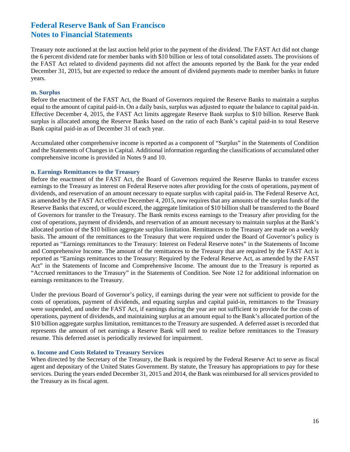Treasury note auctioned at the last auction held prior to the payment of the dividend. The FAST Act did not change the 6 percent dividend rate for member banks with \$10 billion or less of total consolidated assets. The provisions of the FAST Act related to dividend payments did not affect the amounts reported by the Bank for the year ended December 31, 2015, but are expected to reduce the amount of dividend payments made to member banks in future years.

#### **m. Surplus**

Before the enactment of the FAST Act, the Board of Governors required the Reserve Banks to maintain a surplus equal to the amount of capital paid-in. On a daily basis, surplus was adjusted to equate the balance to capital paid-in. Effective December 4, 2015, the FAST Act limits aggregate Reserve Bank surplus to \$10 billion. Reserve Bank surplus is allocated among the Reserve Banks based on the ratio of each Bank's capital paid-in to total Reserve Bank capital paid-in as of December 31 of each year.

Accumulated other comprehensive income is reported as a component of "Surplus" in the Statements of Condition and the Statements of Changes in Capital. Additional information regarding the classifications of accumulated other comprehensive income is provided in Notes 9 and 10.

#### **n. Earnings Remittances to the Treasury**

Before the enactment of the FAST Act, the Board of Governors required the Reserve Banks to transfer excess earnings to the Treasury as interest on Federal Reserve notes after providing for the costs of operations, payment of dividends, and reservation of an amount necessary to equate surplus with capital paid-in. The Federal Reserve Act, as amended by the FAST Act effective December 4, 2015, now requires that any amounts of the surplus funds of the Reserve Banks that exceed, or would exceed, the aggregate limitation of \$10 billion shall be transferred to the Board of Governors for transfer to the Treasury. The Bank remits excess earnings to the Treasury after providing for the cost of operations, payment of dividends, and reservation of an amount necessary to maintain surplus at the Bank's allocated portion of the \$10 billion aggregate surplus limitation. Remittances to the Treasury are made on a weekly basis. The amount of the remittances to the Treasury that were required under the Board of Governor's policy is reported as "Earnings remittances to the Treasury: Interest on Federal Reserve notes" in the Statements of Income and Comprehensive Income. The amount of the remittances to the Treasury that are required by the FAST Act is reported as "Earnings remittances to the Treasury: Required by the Federal Reserve Act, as amended by the FAST Act" in the Statements of Income and Comprehensive Income. The amount due to the Treasury is reported as "Accrued remittances to the Treasury" in the Statements of Condition. See Note 12 for additional information on earnings remittances to the Treasury.

Under the previous Board of Governor's policy, if earnings during the year were not sufficient to provide for the costs of operations, payment of dividends, and equating surplus and capital paid-in, remittances to the Treasury were suspended, and under the FAST Act, if earnings during the year are not sufficient to provide for the costs of operations, payment of dividends, and maintaining surplus at an amount equal to the Bank's allocated portion of the \$10 billion aggregate surplus limitation, remittances to the Treasury are suspended. A deferred asset is recorded that represents the amount of net earnings a Reserve Bank will need to realize before remittances to the Treasury resume. This deferred asset is periodically reviewed for impairment.

#### **o. Income and Costs Related to Treasury Services**

When directed by the Secretary of the Treasury, the Bank is required by the Federal Reserve Act to serve as fiscal agent and depositary of the United States Government. By statute, the Treasury has appropriations to pay for these services. During the years ended December 31, 2015 and 2014, the Bank was reimbursed for all services provided to the Treasury as its fiscal agent.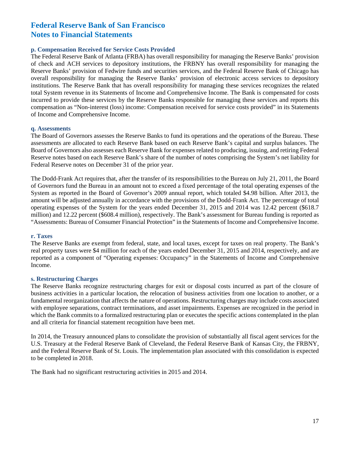#### **p. Compensation Received for Service Costs Provided**

The Federal Reserve Bank of Atlanta (FRBA) has overall responsibility for managing the Reserve Banks' provision of check and ACH services to depository institutions, the FRBNY has overall responsibility for managing the Reserve Banks' provision of Fedwire funds and securities services, and the Federal Reserve Bank of Chicago has overall responsibility for managing the Reserve Banks' provision of electronic access services to depository institutions. The Reserve Bank that has overall responsibility for managing these services recognizes the related total System revenue in its Statements of Income and Comprehensive Income. The Bank is compensated for costs incurred to provide these services by the Reserve Banks responsible for managing these services and reports this compensation as "Non-interest (loss) income: Compensation received for service costs provided" in its Statements of Income and Comprehensive Income.

#### **q. Assessments**

The Board of Governors assesses the Reserve Banks to fund its operations and the operations of the Bureau. These assessments are allocated to each Reserve Bank based on each Reserve Bank's capital and surplus balances. The Board of Governors also assesses each Reserve Bank for expenses related to producing, issuing, and retiring Federal Reserve notes based on each Reserve Bank's share of the number of notes comprising the System's net liability for Federal Reserve notes on December 31 of the prior year.

The Dodd-Frank Act requires that, after the transfer of its responsibilities to the Bureau on July 21, 2011, the Board of Governors fund the Bureau in an amount not to exceed a fixed percentage of the total operating expenses of the System as reported in the Board of Governor's 2009 annual report, which totaled \$4.98 billion. After 2013, the amount will be adjusted annually in accordance with the provisions of the Dodd-Frank Act. The percentage of total operating expenses of the System for the years ended December 31, 2015 and 2014 was 12.42 percent (\$618.7 million) and 12.22 percent (\$608.4 million), respectively. The Bank's assessment for Bureau funding is reported as "Assessments: Bureau of Consumer Financial Protection" in the Statements of Income and Comprehensive Income.

#### **r. Taxes**

The Reserve Banks are exempt from federal, state, and local taxes, except for taxes on real property. The Bank's real property taxes were \$4 million for each of the years ended December 31, 2015 and 2014, respectively, and are reported as a component of "Operating expenses: Occupancy" in the Statements of Income and Comprehensive Income.

#### **s. Restructuring Charges**

The Reserve Banks recognize restructuring charges for exit or disposal costs incurred as part of the closure of business activities in a particular location, the relocation of business activities from one location to another, or a fundamental reorganization that affects the nature of operations. Restructuring charges may include costs associated with employee separations, contract terminations, and asset impairments. Expenses are recognized in the period in which the Bank commits to a formalized restructuring plan or executes the specific actions contemplated in the plan and all criteria for financial statement recognition have been met.

In 2014, the Treasury announced plans to consolidate the provision of substantially all fiscal agent services for the U.S. Treasury at the Federal Reserve Bank of Cleveland, the Federal Reserve Bank of Kansas City, the FRBNY, and the Federal Reserve Bank of St. Louis. The implementation plan associated with this consolidation is expected to be completed in 2018.

The Bank had no significant restructuring activities in 2015 and 2014.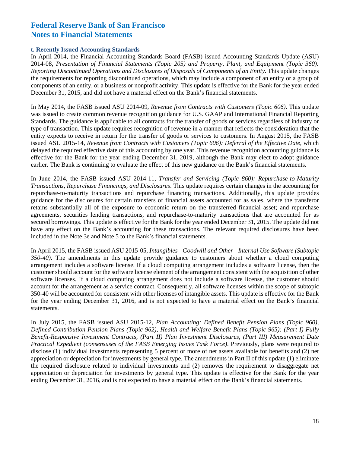#### **t. Recently Issued Accounting Standards**

In April 2014, the Financial Accounting Standards Board (FASB) issued Accounting Standards Update (ASU) 2014-08, *Presentation of Financial Statements (Topic 205) and Property, Plant, and Equipment (Topic 360): Reporting Discontinued Operations and Disclosures of Disposals of Components of an Entity*. This update changes the requirements for reporting discontinued operations, which may include a component of an entity or a group of components of an entity, or a business or nonprofit activity. This update is effective for the Bank for the year ended December 31, 2015, and did not have a material effect on the Bank's financial statements.

In May 2014, the FASB issued ASU 2014-09, *Revenue from Contracts with Customers (Topic 606)*. This update was issued to create common revenue recognition guidance for U.S. GAAP and International Financial Reporting Standards. The guidance is applicable to all contracts for the transfer of goods or services regardless of industry or type of transaction. This update requires recognition of revenue in a manner that reflects the consideration that the entity expects to receive in return for the transfer of goods or services to customers. In August 2015, the FASB issued ASU 2015-14, *Revenue from Contracts with Customers (Topic 606): Deferral of the Effective Date, which* delayed the required effective date of this accounting by one year. This revenue recognition accounting guidance is effective for the Bank for the year ending December 31, 2019, although the Bank may elect to adopt guidance earlier. The Bank is continuing to evaluate the effect of this new guidance on the Bank's financial statements.

In June 2014, the FASB issued ASU 2014-11, *Transfer and Servicing (Topic 860): Repurchase-to-Maturity Transactions, Repurchase Financings, and Disclosures*. This update requires certain changes in the accounting for repurchase-to-maturity transactions and repurchase financing transactions. Additionally, this update provides guidance for the disclosures for certain transfers of financial assets accounted for as sales, where the transferor retains substantially all of the exposure to economic return on the transferred financial asset; and repurchase agreements, securities lending transactions, and repurchase-to-maturity transactions that are accounted for as secured borrowings. This update is effective for the Bank for the year ended December 31, 2015. The update did not have any effect on the Bank's accounting for these transactions. The relevant required disclosures have been included in the Note 3e and Note 5 to the Bank's financial statements.

In April 2015, the FASB issued ASU 2015-05, *Intangibles - Goodwill and Other - Internal Use Software (Subtopic 350-40)*. The amendments in this update provide guidance to customers about whether a cloud computing arrangement includes a software license. If a cloud computing arrangement includes a software license, then the customer should account for the software license element of the arrangement consistent with the acquisition of other software licenses. If a cloud computing arrangement does not include a software license, the customer should account for the arrangement as a service contract. Consequently, all software licenses within the scope of subtopic 350-40 will be accounted for consistent with other licenses of intangible assets. This update is effective for the Bank for the year ending December 31, 2016, and is not expected to have a material effect on the Bank's financial statements.

In July 2015, the FASB issued ASU 2015-12*, Plan Accounting: Defined Benefit Pension Plans (Topic 960), Defined Contribution Pension Plans (Topic 962), Health and Welfare Benefit Plans (Topic 965): (Part I) Fully Benefit-Responsive Investment Contracts, (Part II) Plan Investment Disclosures, (Part III) Measurement Date Practical Expedient (consensuses of the FASB Emerging Issues Task Force)*. Previously, plans were required to disclose (1) individual investments representing 5 percent or more of net assets available for benefits and (2) net appreciation or depreciation for investments by general type. The amendments in Part II of this update (1) eliminate the required disclosure related to individual investments and (2) removes the requirement to disaggregate net appreciation or depreciation for investments by general type. This update is effective for the Bank for the year ending December 31, 2016, and is not expected to have a material effect on the Bank's financial statements.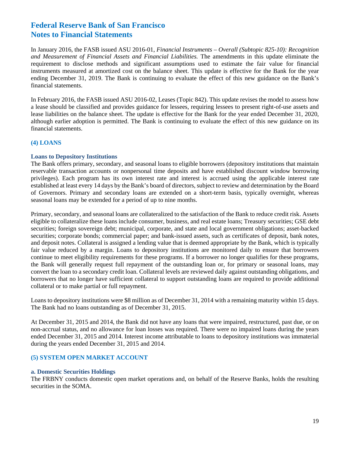In January 2016, the FASB issued ASU 2016-01, *Financial Instruments – Overall (Subtopic 825-10): Recognition and Measurement of Financial Assets and Financial Liabilities.* The amendments in this update eliminate the requirement to disclose methods and significant assumptions used to estimate the fair value for financial instruments measured at amortized cost on the balance sheet. This update is effective for the Bank for the year ending December 31, 2019. The Bank is continuing to evaluate the effect of this new guidance on the Bank's financial statements.

In February 2016, the FASB issued ASU 2016-02, Leases (Topic 842). This update revises the model to assess how a lease should be classified and provides guidance for lessees, requiring lessees to present right-of-use assets and lease liabilities on the balance sheet. The update is effective for the Bank for the year ended December 31, 2020, although earlier adoption is permitted. The Bank is continuing to evaluate the effect of this new guidance on its financial statements.

#### **(4) LOANS**

#### **Loans to Depository Institutions**

The Bank offers primary, secondary, and seasonal loans to eligible borrowers (depository institutions that maintain reservable transaction accounts or nonpersonal time deposits and have established discount window borrowing privileges). Each program has its own interest rate and interest is accrued using the applicable interest rate established at least every 14 days by the Bank's board of directors, subject to review and determination by the Board of Governors. Primary and secondary loans are extended on a short-term basis, typically overnight, whereas seasonal loans may be extended for a period of up to nine months.

Primary, secondary, and seasonal loans are collateralized to the satisfaction of the Bank to reduce credit risk. Assets eligible to collateralize these loans include consumer, business, and real estate loans; Treasury securities; GSE debt securities; foreign sovereign debt; municipal, corporate, and state and local government obligations; asset-backed securities; corporate bonds; commercial paper; and bank-issued assets, such as certificates of deposit, bank notes, and deposit notes. Collateral is assigned a lending value that is deemed appropriate by the Bank, which is typically fair value reduced by a margin. Loans to depository institutions are monitored daily to ensure that borrowers continue to meet eligibility requirements for these programs. If a borrower no longer qualifies for these programs, the Bank will generally request full repayment of the outstanding loan or, for primary or seasonal loans, may convert the loan to a secondary credit loan. Collateral levels are reviewed daily against outstanding obligations, and borrowers that no longer have sufficient collateral to support outstanding loans are required to provide additional collateral or to make partial or full repayment.

Loans to depository institutions were \$8 million as of December 31, 2014 with a remaining maturity within 15 days. The Bank had no loans outstanding as of December 31, 2015.

At December 31, 2015 and 2014, the Bank did not have any loans that were impaired, restructured, past due, or on non-accrual status, and no allowance for loan losses was required. There were no impaired loans during the years ended December 31, 2015 and 2014. Interest income attributable to loans to depository institutions was immaterial during the years ended December 31, 2015 and 2014.

#### **(5) SYSTEM OPEN MARKET ACCOUNT**

#### **a. Domestic Securities Holdings**

The FRBNY conducts domestic open market operations and, on behalf of the Reserve Banks, holds the resulting securities in the SOMA.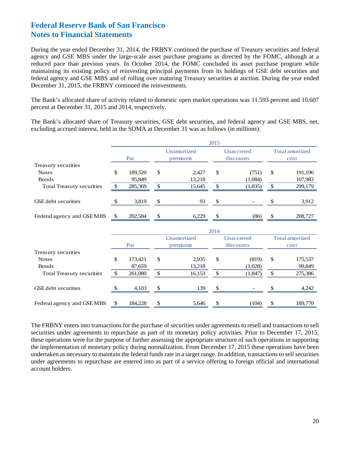During the year ended December 31, 2014, the FRBNY continued the purchase of Treasury securities and federal agency and GSE MBS under the large-scale asset purchase programs as directed by the FOMC, although at a reduced pace than previous years. In October 2014, the FOMC concluded its asset purchase program while maintaining its existing policy of reinvesting principal payments from its holdings of GSE debt securities and federal agency and GSE MBS and of rolling over maturing Treasury securities at auction. During the year ended December 31, 2015, the FRBNY continued the reinvestments.

The Bank's allocated share of activity related to domestic open market operations was 11.593 percent and 10.607 percent at December 31, 2015 and 2014, respectively.

The Bank's allocated share of Treasury securities, GSE debt securities, and federal agency and GSE MBS, net, excluding accrued interest, held in the SOMA at December 31 was as follows (in millions):

|                                  |              |         |                         | 2015 |                         |                        |                                |  |  |
|----------------------------------|--------------|---------|-------------------------|------|-------------------------|------------------------|--------------------------------|--|--|
|                                  |              | Par     | Unamortized<br>premiums |      | Unaccreted<br>discounts |                        | <b>Total amortized</b><br>cost |  |  |
| Treasury securities              |              |         |                         |      |                         |                        |                                |  |  |
| <b>Notes</b>                     | \$           | 189,520 | \$<br>2,427             | \$   | (751)                   | $\mathbb{S}$           | 191,196                        |  |  |
| <b>Bonds</b>                     |              | 95,849  | 13,218                  |      | (1,084)                 |                        | 107,983                        |  |  |
| <b>Total Treasury securities</b> | $\mathbb{S}$ | 285,369 | \$<br>15,645            | \$   | (1,835)                 | $\mathcal{S}$          | 299,179                        |  |  |
| GSE debt securities              |              | 3,819   | \$<br>93                | \$   |                         |                        | 3,912                          |  |  |
| Federal agency and GSEMBS        | \$           | 202,584 | \$<br>6,229             | \$   | (86)                    | \$                     | 208,727                        |  |  |
|                                  |              |         |                         | 2014 |                         |                        |                                |  |  |
|                                  |              |         | Unamortized             |      | Unaccreted              | <b>Total amortized</b> |                                |  |  |
|                                  |              | Par     | premiums                |      | discounts               |                        | cost                           |  |  |
| Treasury securities              |              |         |                         |      |                         |                        |                                |  |  |
| <b>Notes</b>                     | \$           | 173,421 | \$<br>2,935             | \$   | (819)                   | $\mathbb{S}$           | 175,537                        |  |  |
| <b>Bonds</b>                     |              | 87,659  | 13,218                  |      | (1,028)                 |                        | 99,849                         |  |  |
| <b>Total Treasury securities</b> | $\mathbb{S}$ | 261,080 | \$<br>16,153            | \$   | (1,847)                 | \$                     | 275,386                        |  |  |
| <b>GSE</b> debt securities       |              | 4,103   | 139                     | \$   |                         |                        | 4,242                          |  |  |
| Federal agency and GSE MBS       | \$           | 184,228 | \$<br>5,646             | \$   | (104)                   | \$                     | 189,770                        |  |  |

The FRBNY enters into transactions for the purchase of securities under agreements to resell and transactions to sell securities under agreements to repurchase as part of its monetary policy activities. Prior to December 17, 2015, these operations were for the purpose of further assessing the appropriate structure of such operations in supporting the implementation of monetary policy during normalization. From December 17, 2015 these operations have been undertaken as necessary to maintain the federal funds rate in a target range. In addition, transactions to sell securities under agreements to repurchase are entered into as part of a service offering to foreign official and international account holders.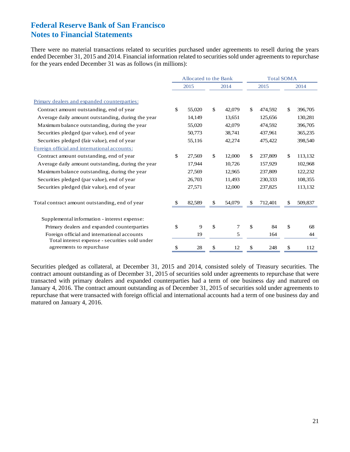There were no material transactions related to securities purchased under agreements to resell during the years ended December 31, 2015 and 2014. Financial information related to securities sold under agreements to repurchase for the years ended December 31 was as follows (in millions):

|                                                                            | Allocated to the Bank |              |        |    | <b>Total SOMA</b> |    |         |  |  |
|----------------------------------------------------------------------------|-----------------------|--------------|--------|----|-------------------|----|---------|--|--|
|                                                                            | 2015                  |              | 2014   |    | 2015              |    | 2014    |  |  |
| Primary dealers and expanded counterparties:                               |                       |              |        |    |                   |    |         |  |  |
| Contract amount outstanding, end of year                                   | \$<br>55,020          | $\mathbb{S}$ | 42,079 | \$ | 474,592           | \$ | 396,705 |  |  |
| Average daily amount outstanding, during the year                          | 14,149                |              | 13,651 |    | 125,656           |    | 130,281 |  |  |
| Maximum balance outstanding, during the year                               | 55,020                |              | 42,079 |    | 474,592           |    | 396,705 |  |  |
| Securities pledged (par value), end of year                                | 50,773                |              | 38,741 |    | 437,961           |    | 365,235 |  |  |
| Securities pledged (fair value), end of year                               | 55,116                |              | 42,274 |    | 475,422           |    | 398,540 |  |  |
| Foreign official and international accounts:                               |                       |              |        |    |                   |    |         |  |  |
| Contract amount outstanding, end of year                                   | \$<br>27,569          | $\mathbb{S}$ | 12,000 | \$ | 237,809           | \$ | 113,132 |  |  |
| Average daily amount outstanding, during the year                          | 17,944                |              | 10,726 |    | 157,929           |    | 102,968 |  |  |
| Maximum balance outstanding, during the year                               | 27,569                |              | 12,965 |    | 237,809           |    | 122,232 |  |  |
| Securities pledged (par value), end of year                                | 26,703                |              | 11,493 |    | 230,333           |    | 108,355 |  |  |
| Securities pledged (fair value), end of year                               | 27,571                |              | 12,000 |    | 237,825           |    | 113,132 |  |  |
| Total contract amount outstanding, end of year                             | 82,589                | \$           | 54,079 | £. | 712,401           | \$ | 509,837 |  |  |
| Supplemental information - interest expense:                               |                       |              |        |    |                   |    |         |  |  |
| Primary dealers and expanded counterparties                                | \$<br>9               | \$           | 7      | \$ | 84                | \$ | 68      |  |  |
| Foreign official and international accounts                                | 19                    |              | 5      |    | 164               |    | 44      |  |  |
| Total interest expense - securities sold under<br>agreements to repurchase | \$<br>28              | \$           | 12     | \$ | 248               | \$ | 112     |  |  |

Securities pledged as collateral, at December 31, 2015 and 2014, consisted solely of Treasury securities. The contract amount outstanding as of December 31, 2015 of securities sold under agreements to repurchase that were transacted with primary dealers and expanded counterparties had a term of one business day and matured on January 4, 2016. The contract amount outstanding as of December 31, 2015 of securities sold under agreements to repurchase that were transacted with foreign official and international accounts had a term of one business day and matured on January 4, 2016.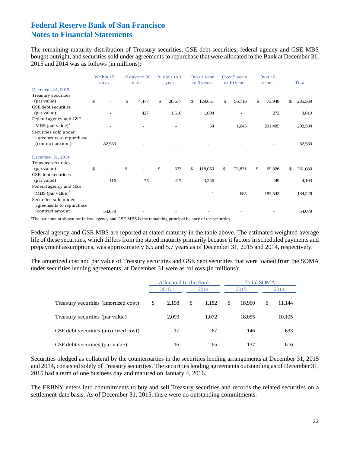The remaining maturity distribution of Treasury securities, GSE debt securities, federal agency and GSE MBS bought outright, and securities sold under agreements to repurchase that were allocated to the Bank at December 31, 2015 and 2014 was as follows (in millions):

|                                                   | Within 15<br>days | 16 days to 90<br>days | 91 days to 1<br>year | Over 1 year<br>Over 5 years<br>Over 10<br>to 10 years<br>to 5 years<br>years |    |        |    |         | Total |         |
|---------------------------------------------------|-------------------|-----------------------|----------------------|------------------------------------------------------------------------------|----|--------|----|---------|-------|---------|
| December 31, 2015:                                |                   |                       |                      |                                                                              |    |        |    |         |       |         |
| Treasury securities                               |                   |                       |                      |                                                                              |    |        |    |         |       |         |
| (par value)                                       | \$                | \$<br>4,477           | \$<br>20,577         | \$<br>129,651                                                                | \$ | 56,716 | \$ | 73,948  | \$    | 285,369 |
| GSE debt securities                               |                   |                       |                      |                                                                              |    |        |    |         |       |         |
| (par value)                                       |                   | 427                   | 1,516                | 1,604                                                                        |    |        |    | 272     |       | 3,819   |
| Federal agency and GSE                            |                   |                       |                      |                                                                              |    |        |    |         |       |         |
| $MBS$ (par value) <sup>1</sup>                    |                   |                       |                      | 54                                                                           |    | 1,045  |    | 201,485 |       | 202,584 |
| Securities sold under<br>agreements to repurchase |                   |                       |                      |                                                                              |    |        |    |         |       |         |
| (contract amount)                                 | 82,589            |                       |                      |                                                                              |    |        |    |         |       | 82,589  |
| December 31, 2014:                                |                   |                       |                      |                                                                              |    |        |    |         |       |         |
| Treasury securities                               |                   |                       |                      |                                                                              |    |        |    |         |       |         |
| (par value)                                       | \$                | \$                    | \$<br>373            | \$<br>118,050                                                                | \$ | 72,831 | \$ | 69,826  | \$    | 261,080 |
| GSE debt securities                               |                   |                       |                      |                                                                              |    |        |    |         |       |         |
| (par value)                                       | 116               | 75                    | 417                  | 3,246                                                                        |    |        |    | 249     |       | 4,103   |
| Federal agency and GSE                            |                   |                       |                      |                                                                              |    |        |    |         |       |         |
| $MBS$ (par value) <sup>1</sup>                    |                   |                       |                      | 1                                                                            |    | 685    |    | 183,542 |       | 184,228 |
| Securities sold under<br>agreements to repurchase |                   |                       |                      |                                                                              |    |        |    |         |       |         |
| (contract amount)                                 | 54,079            |                       |                      |                                                                              |    |        |    |         |       | 54,079  |

<sup>1</sup>The par amount shown for federal agency and GSE MBS is the remaining principal balance of the securities.

Federal agency and GSE MBS are reported at stated maturity in the table above. The estimated weighted average life of these securities, which differs from the stated maturity primarily because it factors in scheduled payments and prepayment assumptions, was approximately 6.5 and 5.7 years as of December 31, 2015 and 2014, respectively.

The amortized cost and par value of Treasury securities and GSE debt securities that were loaned from the SOMA under securities lending agreements, at December 31 were as follows (in millions):

|                                      | Allocated to the Bank |             | <b>Total SOMA</b> |   |        |
|--------------------------------------|-----------------------|-------------|-------------------|---|--------|
|                                      | 2015                  | 2014        | 2015              |   | 2014   |
| Treasury securities (amortized cost) | \$<br>2.198           | \$<br>1.182 | \$<br>18.960      | S | 11,144 |
| Treasury securities (par value)      | 2,093                 | 1.072       | 18,055            |   | 10,105 |
| GSE debt securities (amortized cost) | 17                    | 67          | 146               |   | 633    |
| GSE debt securities (par value)      | 16                    | 65          | 137               |   | 616    |

Securities pledged as collateral by the counterparties in the securities lending arrangements at December 31, 2015 and 2014, consisted solely of Treasury securities. The securities lending agreements outstanding as of December 31, 2015 had a term of one business day and matured on January 4, 2016.

The FRBNY enters into commitments to buy and sell Treasury securities and records the related securities on a settlement-date basis. As of December 31, 2015, there were no outstanding commitments.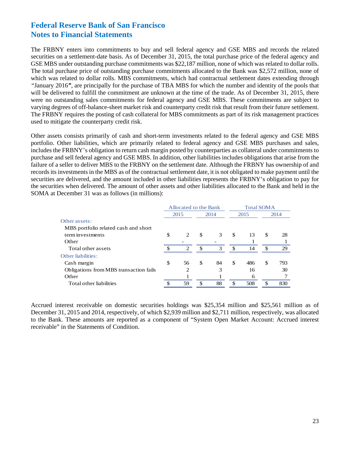The FRBNY enters into commitments to buy and sell federal agency and GSE MBS and records the related securities on a settlement-date basis. As of December 31, 2015, the total purchase price of the federal agency and GSE MBS under outstanding purchase commitments was \$22,187 million, none of which was related to dollar rolls. The total purchase price of outstanding purchase commitments allocated to the Bank was \$2,572 million, none of which was related to dollar rolls. MBS commitments, which had contractual settlement dates extending through *"*January 2016*"*, are principally for the purchase of TBA MBS for which the number and identity of the pools that will be delivered to fulfill the commitment are unknown at the time of the trade. As of December 31, 2015, there were no outstanding sales commitments for federal agency and GSE MBS. These commitments are subject to varying degrees of off-balance-sheet market risk and counterparty credit risk that result from their future settlement. The FRBNY requires the posting of cash collateral for MBS commitments as part of its risk management practices used to mitigate the counterparty credit risk.

Other assets consists primarily of cash and short-term investments related to the federal agency and GSE MBS portfolio. Other liabilities, which are primarily related to federal agency and GSE MBS purchases and sales, includes the FRBNY's obligation to return cash margin posted by counterparties as collateral under commitments to purchase and sell federal agency and GSE MBS. In addition, other liabilities includes obligations that arise from the failure of a seller to deliver MBS to the FRBNY on the settlement date. Although the FRBNY has ownership of and records its investments in the MBS as of the contractual settlement date, it is not obligated to make payment until the securities are delivered, and the amount included in other liabilities represents the FRBNY's obligation to pay for the securities when delivered. The amount of other assets and other liabilities allocated to the Bank and held in the SOMA at December 31 was as follows (in millions):

|                                        |    | Allocated to the Bank       |     | <b>Total SOMA</b> |    |      |    |      |  |
|----------------------------------------|----|-----------------------------|-----|-------------------|----|------|----|------|--|
|                                        |    | 2015                        |     | 2014              |    | 2015 |    | 2014 |  |
| Other assets:                          |    |                             |     |                   |    |      |    |      |  |
| MBS portfolio related cash and short   |    |                             |     |                   |    |      |    |      |  |
| term investments                       | \$ | 2                           | -\$ | 3                 | \$ | 13   | \$ | 28   |  |
| Other                                  |    |                             |     |                   |    |      |    |      |  |
| Total other assets                     | ¢  | $\mathcal{D}_{\mathcal{L}}$ | -\$ | 3                 | \$ | 14   | \$ | 29   |  |
| Other liabilities:                     |    |                             |     |                   |    |      |    |      |  |
| Cash margin                            | \$ | 56                          | \$  | 84                | \$ | 486  | \$ | 793  |  |
| Obligations from MBS transaction fails |    | 2                           |     | 3                 |    | 16   |    | 30   |  |
| Other                                  |    |                             |     |                   |    | 6    |    |      |  |
| Total other liabilities                |    | 59                          | \$  | 88                | \$ | 508  | £. | 830  |  |

Accrued interest receivable on domestic securities holdings was \$25,354 million and \$25,561 million as of December 31, 2015 and 2014, respectively, of which \$2,939 million and \$2,711 million, respectively, was allocated to the Bank. These amounts are reported as a component of "System Open Market Account: Accrued interest receivable" in the Statements of Condition.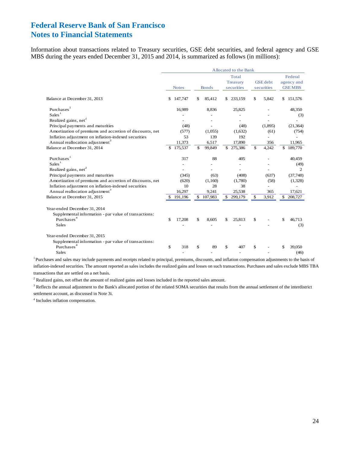Information about transactions related to Treasury securities, GSE debt securities, and federal agency and GSE MBS during the years ended December 31, 2015 and 2014, is summarized as follows (in millions):

|                                                                                                                                                                                                                                          | Allocated to the Bank |                                |              |                                |                                 |                                  |                               |                      |    |                                                 |  |
|------------------------------------------------------------------------------------------------------------------------------------------------------------------------------------------------------------------------------------------|-----------------------|--------------------------------|--------------|--------------------------------|---------------------------------|----------------------------------|-------------------------------|----------------------|----|-------------------------------------------------|--|
|                                                                                                                                                                                                                                          |                       | <b>Notes</b>                   | <b>Bonds</b> |                                | Total<br>Treasury<br>securities |                                  | <b>GSE</b> debt<br>securities |                      |    | Federal<br>agency and<br><b>GSE MBS</b>         |  |
| Balance at December 31, 2013                                                                                                                                                                                                             | \$                    | 147,747                        | \$           | 85,412                         | \$                              | 233,159                          | \$                            | 5,842                | \$ | 151,576                                         |  |
| Purchases <sup>1</sup><br>Sales <sup>1</sup><br>Realized gains, net <sup>2</sup>                                                                                                                                                         |                       | 16,989                         |              | 8,836                          |                                 | 25,825                           |                               |                      |    | 48,350<br>(3)                                   |  |
| Principal payments and maturities<br>Amortization of premiums and accretion of discounts, net                                                                                                                                            |                       | (48)<br>(577)                  |              | (1,055)                        |                                 | (48)<br>(1,632)                  |                               | (1,895)<br>(61)      |    | (21, 364)<br>(754)                              |  |
| Inflation adjustment on inflation-indexed securities<br>Annual reallocation adjustment <sup>3</sup>                                                                                                                                      |                       | 53<br>11,373                   |              | 139<br>6,517                   |                                 | 192<br>17,890                    |                               | 356                  |    | 11,965                                          |  |
| Balance at December 31, 2014                                                                                                                                                                                                             | \$                    | 175,537                        | \$           | 99,849                         |                                 | \$275,386                        | \$                            | 4,242                | \$ | 189,770                                         |  |
| Purchases<br>Sales <sup>1</sup>                                                                                                                                                                                                          |                       | 317                            |              | 88                             |                                 | 405                              |                               |                      |    | 40,459<br>(49)                                  |  |
| Realized gains, net <sup>2</sup><br>Principal payments and maturities<br>Amortization of premiums and accretion of discounts, net<br>Inflation adjustment on inflation-indexed securities<br>Annual reallocation adjustment <sup>3</sup> |                       | (345)<br>(620)<br>10<br>16,297 |              | (63)<br>(1,160)<br>28<br>9,241 |                                 | (408)<br>(1,780)<br>38<br>25,538 |                               | (637)<br>(58)<br>365 |    | $\overline{c}$<br>(37,748)<br>(1,328)<br>17,621 |  |
| Balance at December 31, 2015                                                                                                                                                                                                             |                       | 191,196                        | \$           | 107,983                        | \$                              | 299,179                          | \$                            | 3,912                | \$ | 208,727                                         |  |
| Year-ended December 31, 2014<br>Supplemental information - par value of transactions:<br>Purchases <sup>4</sup><br><b>Sales</b>                                                                                                          | $\mathbf S$           | 17,208                         | \$           | 8,605                          |                                 | 25,813                           | \$                            |                      | \$ | 46.713<br>(3)                                   |  |
| Year-ended December 31, 2015<br>Supplemental information - par value of transactions:<br>Purchases <sup>4</sup><br><b>Sales</b>                                                                                                          | \$                    | 318                            | \$           | 89                             | \$                              | 407                              | \$                            |                      |    | 39,050<br>(46)                                  |  |

<sup>1</sup> Purchases and sales may include payments and receipts related to principal, premiums, discounts, and inflation compensation adjustments to the basis of inflation-indexed securities. The amount reported as sales includes the realized gains and losses on such transactions. Purchases and sales exclude MBS TBA transactions that are settled on a net basis.

<sup>2</sup> Realized gains, net offset the amount of realized gains and losses included in the reported sales amount.

 $3$  Reflects the annual adjustment to the Bank's allocated portion of the related SOMA securities that results from the annual settlement of the interdistrict settlement account, as discussed in Note 3i.

4 Includes inflation compensation.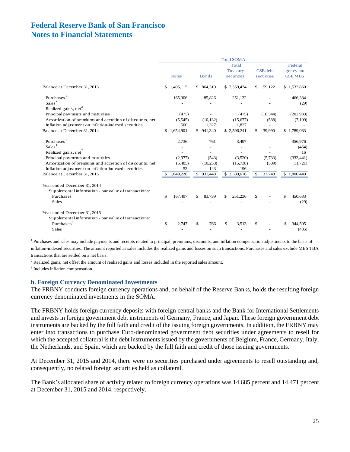|                                                          |             |              |               |           |            | <b>Total SOMA</b> |                 |                       |
|----------------------------------------------------------|-------------|--------------|---------------|-----------|------------|-------------------|-----------------|-----------------------|
|                                                          |             |              |               |           |            | Total<br>Treasury | <b>GSE</b> debt | Federal<br>agency and |
|                                                          |             | <b>Notes</b> | <b>Bonds</b>  |           | securities |                   | securities      | <b>GSE MBS</b>        |
| Balance at December 31, 2013                             | \$          | 1,495,115    | \$            | 864,319   |            | \$2,359,434       | \$<br>59,122    | \$1,533,860           |
| Purchases <sup>1</sup>                                   |             | 165,306      |               | 85,826    |            | 251,132           |                 | 466,384               |
| Sales <sup>1</sup>                                       |             |              |               |           |            |                   |                 | (29)                  |
| Realized gains, net <sup>2</sup>                         |             |              |               |           |            |                   |                 |                       |
| Principal payments and maturities                        |             | (475)        |               |           |            | (475)             | (18, 544)       | (203,933)             |
| Amortization of premiums and accretion of discounts, net |             | (5,545)      |               | (10, 132) |            | (15,677)          | (588)           | (7,199)               |
| Inflation adjustment on inflation-indexed securities     |             | 500          |               | 1,327     |            | 1,827             |                 |                       |
| Balance at December 31, 2014                             |             | \$1,654,901  | $\mathcal{S}$ | 941,340   |            | \$2,596,241       | \$<br>39,990    | \$1,789,083           |
| Purchases <sup>1</sup>                                   |             | 2,736        |               | 761       |            | 3,497             |                 | 356,976               |
| Sales <sup>1</sup>                                       |             |              |               |           |            |                   |                 | (464)                 |
| Realized gains, net <sup>2</sup>                         |             |              |               |           |            |                   |                 | 16                    |
| Principal payments and maturities                        |             | (2,977)      |               | (543)     |            | (3,520)           | (5.733)         | (333, 441)            |
| Amortization of premiums and accretion of discounts, net |             | (5,485)      |               | (10,253)  |            | (15,738)          | (509)           | (11, 721)             |
| Inflation adjustment on inflation-indexed securities     |             | 53           |               | 143       |            | 196               |                 |                       |
| Balance at December 31, 2015                             |             | 1,649,228    | \$            | 931,448   |            | \$2,580,676       | \$<br>33,748    | \$1,800,449           |
| Year-ended December 31, 2014                             |             |              |               |           |            |                   |                 |                       |
| Supplemental information - par value of transactions:    |             |              |               |           |            |                   |                 |                       |
| Purchases <sup>3</sup>                                   | $\mathbf S$ | 167,497      | \$            | 83,739    | \$         | 251,236           | \$              | \$<br>450,633         |
| <b>Sales</b>                                             |             |              |               |           |            |                   |                 | (29)                  |
| Year-ended December 31, 2015                             |             |              |               |           |            |                   |                 |                       |
| Supplemental information - par value of transactions:    |             |              |               |           |            |                   |                 |                       |
| Purchases <sup>3</sup>                                   | \$          | 2,747        | \$            | 766       | \$         | 3,513             | \$              | 344,505               |
| <b>Sales</b>                                             |             |              |               |           |            |                   |                 | (435)                 |

<sup>1</sup> Purchases and sales may include payments and receipts related to principal, premiums, discounts, and inflation compensation adjustments to the basis of inflation-indexed securities. The amount reported as sales includes the realized gains and losses on such transactions. Purchases and sales exclude MBS TBA transactions that are settled on a net basis.

<sup>2</sup> Realized gains, net offset the amount of realized gains and losses included in the reported sales amount.

3 Includes inflation compensation.

#### **b. Foreign Currency Denominated Investments**

The FRBNY conducts foreign currency operations and, on behalf of the Reserve Banks, holds the resulting foreign currency denominated investments in the SOMA.

The FRBNY holds foreign currency deposits with foreign central banks and the Bank for International Settlements and invests in foreign government debt instruments of Germany, France, and Japan. These foreign government debt instruments are backed by the full faith and credit of the issuing foreign governments. In addition, the FRBNY may enter into transactions to purchase Euro-denominated government debt securities under agreements to resell for which the accepted collateral is the debt instruments issued by the governments of Belgium, France, Germany, Italy, the Netherlands, and Spain, which are backed by the full faith and credit of those issuing governments.

At December 31, 2015 and 2014, there were no securities purchased under agreements to resell outstanding and, consequently, no related foreign securities held as collateral.

The Bank's allocated share of activity related to foreign currency operations was 14.685 percent and 14.471 percent at December 31, 2015 and 2014, respectively.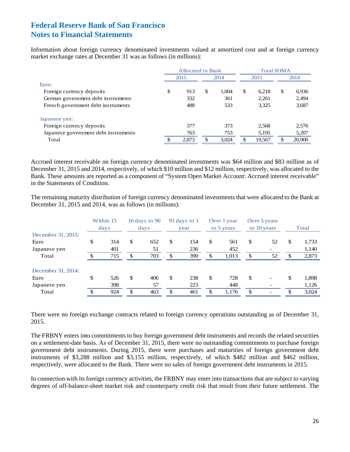Information about foreign currency denominated investments valued at amortized cost and at foreign currency market exchange rates at December 31 was as follows (in millions):

|                                      | Allocated to Bank |       |    |       |    | <b>Total SOMA</b> |      |        |  |
|--------------------------------------|-------------------|-------|----|-------|----|-------------------|------|--------|--|
|                                      | 2015              |       |    | 2014  |    | 2015              | 2014 |        |  |
| Furo:                                |                   |       |    |       |    |                   |      |        |  |
| Foreign currency deposits            | \$                | 913   | \$ | 1.004 | \$ | 6,218             | S    | 6,936  |  |
| German government debt instruments   |                   | 332   |    | 361   |    | 2,261             |      | 2,494  |  |
| French government debt instruments   |                   | 488   |    | 533   |    | 3,325             |      | 3,687  |  |
| Japanese yen:                        |                   |       |    |       |    |                   |      |        |  |
| Foreign currency deposits            |                   | 377   |    | 373   |    | 2,568             |      | 2,576  |  |
| Japanese government debt instruments |                   | 763   |    | 753   |    | 5,195             |      | 5,207  |  |
| Total                                |                   | 2,873 | \$ | 3,024 | \$ | 19,567            | S    | 20,900 |  |

Accrued interest receivable on foreign currency denominated investments was \$64 million and \$83 million as of December 31, 2015 and 2014, respectively, of which \$10 million and \$12 million, respectively, was allocated to the Bank. These amounts are reported as a component of "System Open Market Account: Accrued interest receivable" in the Statements of Condition.

The remaining maturity distribution of foreign currency denominated investments that were allocated to the Bank at December 31, 2015 and 2014, was as follows (in millions):

|                    | Within 15<br>days |               | 16 days to $90$<br>days | 91 days to 1<br>year |     | Over 1 year<br>to 5 years |       |     |    |               | Over 5 years<br>to 10 years |  | Total |
|--------------------|-------------------|---------------|-------------------------|----------------------|-----|---------------------------|-------|-----|----|---------------|-----------------------------|--|-------|
| December 31, 2015: |                   |               |                         |                      |     |                           |       |     |    |               |                             |  |       |
| Euro               | \$<br>314         | <sup>\$</sup> | 652                     | \$                   | 154 | \$                        | 561   | \$  | 52 | S             | 1,733                       |  |       |
| Japanese yen       | 401               |               | 51                      |                      | 236 |                           | 452   |     |    |               | 1,140                       |  |       |
| Total              | 715               | \$            | 703                     | \$                   | 390 | \$                        | 1,013 | \$  | 52 | <sup>\$</sup> | 2,873                       |  |       |
| December 31, 2014: |                   |               |                         |                      |     |                           |       |     |    |               |                             |  |       |
| Euro               | \$<br>526         | <sup>\$</sup> | 406                     | \$                   | 238 | \$                        | 728   | \$  |    | \$            | 1,898                       |  |       |
| Japanese yen       | 398               |               | 57                      |                      | 223 |                           | 448   |     |    |               | 1,126                       |  |       |
| Total              | 924               | \$            | 463                     | \$                   | 461 | \$                        | 1,176 | \$. |    | \$            | 3,024                       |  |       |

There were no foreign exchange contracts related to foreign currency operations outstanding as of December 31, 2015.

The FRBNY enters into commitments to buy foreign government debt instruments and records the related securities on a settlement-date basis. As of December 31, 2015, there were no outstanding commitments to purchase foreign government debt instruments. During 2015, there were purchases and maturities of foreign government debt instruments of \$3,288 million and \$3,155 million, respectively, of which \$482 million and \$462 million, respectively, were allocated to the Bank. There were no sales of foreign government debt instruments in 2015.

In connection with its foreign currency activities, the FRBNY may enter into transactions that are subject to varying degrees of off-balance-sheet market risk and counterparty credit risk that result from their future settlement. The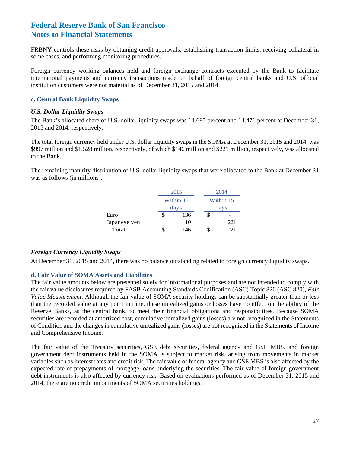FRBNY controls these risks by obtaining credit approvals, establishing transaction limits, receiving collateral in some cases, and performing monitoring procedures.

Foreign currency working balances held and foreign exchange contracts executed by the Bank to facilitate international payments and currency transactions made on behalf of foreign central banks and U.S. official institution customers were not material as of December 31, 2015 and 2014.

#### **c. Central Bank Liquidity Swaps**

#### *U.S. Dollar Liquidity Swaps*

The Bank's allocated share of U.S. dollar liquidity swaps was 14.685 percent and 14.471 percent at December 31, 2015 and 2014, respectively.

The total foreign currency held under U.S. dollar liquidity swaps in the SOMA at December 31, 2015 and 2014, was \$997 million and \$1,528 million, respectively, of which \$146 million and \$221 million, respectively, was allocated to the Bank.

The remaining maturity distribution of U.S. dollar liquidity swaps that were allocated to the Bank at December 31 was as follows (in millions):

|              | 2015      |    | 2014      |
|--------------|-----------|----|-----------|
|              | Within 15 |    | Within 15 |
|              | days      |    | days      |
| Euro         | \$<br>136 | \$ |           |
| Japanese yen | 10        |    | 221       |
| Total        | 146       |    | 22.1      |

#### *Foreign Currency Liquidity Swaps*

At December 31, 2015 and 2014, there was no balance outstanding related to foreign currency liquidity swaps.

#### **d. Fair Value of SOMA Assets and Liabilities**

The fair value amounts below are presented solely for informational purposes and are not intended to comply with the fair value disclosures required by FASB Accounting Standards Codification (ASC) Topic 820 (ASC 820), *Fair Value Measurement*. Although the fair value of SOMA security holdings can be substantially greater than or less than the recorded value at any point in time, these unrealized gains or losses have no effect on the ability of the Reserve Banks, as the central bank, to meet their financial obligations and responsibilities. Because SOMA securities are recorded at amortized cost, cumulative unrealized gains (losses) are not recognized in the Statements of Condition and the changes in cumulative unrealized gains (losses) are not recognized in the Statements of Income and Comprehensive Income.

The fair value of the Treasury securities, GSE debt securities, federal agency and GSE MBS, and foreign government debt instruments held in the SOMA is subject to market risk, arising from movements in market variables such as interest rates and credit risk. The fair value of federal agency and GSE MBS is also affected by the expected rate of prepayments of mortgage loans underlying the securities. The fair value of foreign government debt instruments is also affected by currency risk. Based on evaluations performed as of December 31, 2015 and 2014, there are no credit impairments of SOMA securities holdings.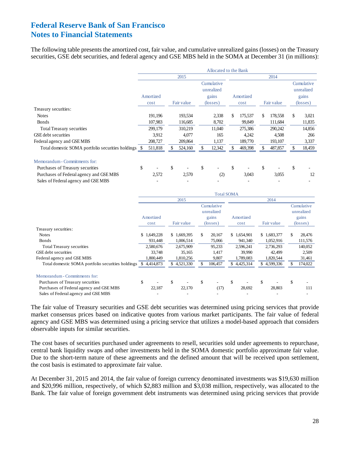The following table presents the amortized cost, fair value, and cumulative unrealized gains (losses) on the Treasury securities, GSE debt securities, and federal agency and GSE MBS held in the SOMA at December 31 (in millions):

|                                                      | Allocated to the Bank |           |    |            |                   |                          |      |           |            |         |                   |                          |
|------------------------------------------------------|-----------------------|-----------|----|------------|-------------------|--------------------------|------|-----------|------------|---------|-------------------|--------------------------|
|                                                      |                       |           |    | 2015       |                   |                          |      |           |            | 2014    |                   |                          |
|                                                      |                       |           |    |            |                   | Cumulative<br>unrealized |      |           |            |         |                   | Cumulative<br>unrealized |
|                                                      |                       | Amortized |    |            |                   | gains                    |      | Amortized |            |         |                   | gains                    |
|                                                      |                       | cost      |    | Fair value | $(\text{losses})$ |                          | cost |           | Fair value |         | $(\text{losses})$ |                          |
| Treasury securities:                                 |                       |           |    |            |                   |                          |      |           |            |         |                   |                          |
| <b>Notes</b>                                         |                       | 191,196   |    | 193,534    |                   | 2,338                    | \$   | 175,537   | \$         | 178,558 | \$                | 3,021                    |
| <b>Bonds</b>                                         |                       | 107,983   |    | 116,685    |                   | 8,702                    |      | 99,849    |            | 111,684 |                   | 11,835                   |
| Total Treasury securities                            |                       | 299,179   |    | 310,219    |                   | 11,040                   |      | 275,386   |            | 290,242 |                   | 14,856                   |
| <b>GSE</b> debt securities                           |                       | 3,912     |    | 4,077      |                   | 165                      |      | 4,242     |            | 4,508   |                   | 266                      |
| Federal agency and GSEMBS                            |                       | 208,727   |    | 209,864    |                   | 1,137                    |      | 189,770   |            | 193,107 |                   | 3,337                    |
| Total domestic SOMA portfolio securities holdings \$ |                       | 511,818   |    | 524,160    |                   | 12,342                   |      | 469,398   |            | 487,857 |                   | 18,459                   |
| Memorandum - Commitments for:                        |                       |           |    |            |                   |                          |      |           |            |         |                   |                          |
| Purchases of Treasury securities                     | \$                    |           | \$ |            | \$                |                          | \$   |           | \$         |         | \$                |                          |
| Purchases of Federal agency and GSEMBS               |                       | 2,572     |    | 2,570      |                   | (2)                      |      | 3,043     |            | 3,055   |                   | 12                       |
| Sales of Federal agency and GSEMBS                   |                       |           |    |            |                   |                          |      |           |            |         |                   |                          |

|                                                   | <b>Total SOMA</b> |           |    |             |          |                          |      |             |            |             |                   |                          |
|---------------------------------------------------|-------------------|-----------|----|-------------|----------|--------------------------|------|-------------|------------|-------------|-------------------|--------------------------|
|                                                   |                   |           |    | 2015        |          |                          |      |             |            | 2014        |                   |                          |
|                                                   |                   |           |    |             |          | Cumulative<br>unrealized |      |             |            |             |                   | Cumulative<br>unrealized |
|                                                   | Amortized         |           |    |             |          | gains                    |      | Amortized   |            |             |                   | gains                    |
|                                                   | cost              |           |    | Fair value  | (losses) |                          | cost |             | Fair value |             | $(\text{losses})$ |                          |
| Treasury securities:                              |                   |           |    |             |          |                          |      |             |            |             |                   |                          |
| <b>Notes</b>                                      | \$1,649,228       |           |    | \$1,669,395 | \$       | 20,167                   |      | \$1,654,901 |            | \$1,683,377 | \$.               | 28,476                   |
| <b>Bonds</b>                                      |                   | 931,448   |    | 1,006,514   |          | 75,066                   |      | 941,340     |            | 1,052,916   |                   | 111,576                  |
| <b>Total Treasury securities</b>                  |                   | 2,580,676 |    | 2,675,909   |          | 95,233                   |      | 2,596,241   |            | 2,736,293   |                   | 140,052                  |
| GSE debt securities                               |                   | 33,748    |    | 35,165      |          | 1,417                    |      | 39,990      |            | 42,499      |                   | 2,509                    |
| Federal agency and GSE MBS                        |                   | 1,800,449 |    | 1,810,256   |          | 9,807                    |      | 1,789,083   |            | 1,820,544   |                   | 31,461                   |
| Total domestic SOMA portfolio securities holdings | \$4,414,873       |           |    | \$4,521,330 | \$       | 106,457                  |      | \$4,425,314 |            | \$4,599,336 |                   | 174,022                  |
| Memorandum - Commitments for:                     |                   |           |    |             |          |                          |      |             |            |             |                   |                          |
| Purchases of Treasury securities                  | \$                |           | \$ |             | \$       | $\overline{\phantom{a}}$ | \$   |             | \$         |             | \$                |                          |
| Purchases of Federal agency and GSEMBS            |                   | 22,187    |    | 22,170      |          | (17)                     |      | 28,692      |            | 28,803      |                   | 111                      |
| Sales of Federal agency and GSEMBS                |                   |           |    |             |          |                          |      |             |            |             |                   |                          |

The fair value of Treasury securities and GSE debt securities was determined using pricing services that provide market consensus prices based on indicative quotes from various market participants. The fair value of federal agency and GSE MBS was determined using a pricing service that utilizes a model-based approach that considers observable inputs for similar securities.

The cost bases of securities purchased under agreements to resell, securities sold under agreements to repurchase, central bank liquidity swaps and other investments held in the SOMA domestic portfolio approximate fair value. Due to the short-term nature of these agreements and the defined amount that will be received upon settlement, the cost basis is estimated to approximate fair value.

At December 31, 2015 and 2014, the fair value of foreign currency denominated investments was \$19,630 million and \$20,996 million, respectively, of which \$2,883 million and \$3,038 million, respectively, was allocated to the Bank. The fair value of foreign government debt instruments was determined using pricing services that provide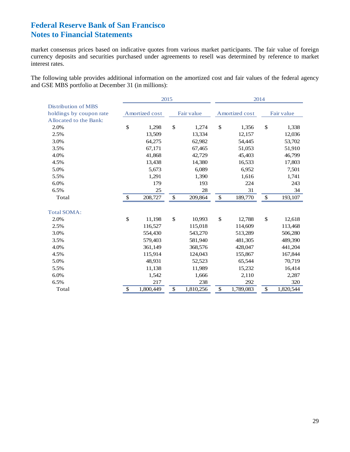market consensus prices based on indicative quotes from various market participants. The fair value of foreign currency deposits and securities purchased under agreements to resell was determined by reference to market interest rates.

The following table provides additional information on the amortized cost and fair values of the federal agency and GSE MBS portfolio at December 31 (in millions):

|                         | 2015            |               |            | 2014 |                |               |            |  |
|-------------------------|-----------------|---------------|------------|------|----------------|---------------|------------|--|
| Distribution of MBS     |                 |               |            |      |                |               |            |  |
| holdings by coupon rate | Amortized cost  |               | Fair value |      | Amortized cost |               | Fair value |  |
| Allocated to the Bank:  |                 |               |            |      |                |               |            |  |
| 2.0%                    | \$<br>1,298     | $\mathsf{\$}$ | 1,274      | \$   | 1,356          | $\mathsf{\$}$ | 1,338      |  |
| 2.5%                    | 13,509          |               | 13,334     |      | 12,157         |               | 12,036     |  |
| 3.0%                    | 64,275          |               | 62,982     |      | 54,445         |               | 53,702     |  |
| 3.5%                    | 67,171          |               | 67,465     |      | 51,053         |               | 51,910     |  |
| 4.0%                    | 41,868          |               | 42,729     |      | 45,403         |               | 46,799     |  |
| 4.5%                    | 13,438          |               | 14,380     |      | 16,533         |               | 17,803     |  |
| 5.0%                    | 5,673           |               | 6,089      |      | 6,952          |               | 7,501      |  |
| 5.5%                    | 1,291           |               | 1,390      |      | 1,616          |               | 1,741      |  |
| 6.0%                    | 179             |               | 193        |      | 224            |               | 243        |  |
| 6.5%                    | 25              |               | 28         |      | 31             |               | 34         |  |
| Total                   | \$<br>208,727   | \$            | 209,864    | \$   | 189,770        | \$            | 193,107    |  |
| <b>Total SOMA:</b>      |                 |               |            |      |                |               |            |  |
| 2.0%                    | \$<br>11,198    | \$            | 10,993     | \$   | 12,788         | \$            | 12,618     |  |
| 2.5%                    | 116,527         |               | 115,018    |      | 114,609        |               | 113,468    |  |
| 3.0%                    | 554,430         |               | 543,270    |      | 513,289        |               | 506,280    |  |
| 3.5%                    | 579,403         |               | 581,940    |      | 481,305        |               | 489,390    |  |
| 4.0%                    | 361,149         |               | 368,576    |      | 428,047        |               | 441,204    |  |
| 4.5%                    | 115,914         |               | 124,043    |      | 155,867        |               | 167,844    |  |
| 5.0%                    | 48,931          |               | 52,523     |      | 65,544         |               | 70,719     |  |
| 5.5%                    | 11,138          |               | 11,989     |      | 15,232         |               | 16,414     |  |
| 6.0%                    | 1,542           |               | 1,666      |      | 2,110          |               | 2,287      |  |
| 6.5%                    | 217             |               | 238        |      | 292            |               | 320        |  |
| Total                   | \$<br>1,800,449 | \$            | 1,810,256  | \$   | 1,789,083      | \$            | 1,820,544  |  |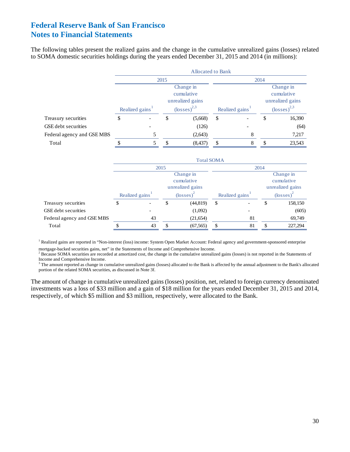The following tables present the realized gains and the change in the cumulative unrealized gains (losses) related to SOMA domestic securities holdings during the years ended December 31, 2015 and 2014 (in millions):

|                            | <b>Allocated to Bank</b> |                             |      |                                                                                   |      |                             |      |                                                                                   |  |  |  |
|----------------------------|--------------------------|-----------------------------|------|-----------------------------------------------------------------------------------|------|-----------------------------|------|-----------------------------------------------------------------------------------|--|--|--|
|                            |                          |                             | 2015 |                                                                                   |      |                             | 2014 |                                                                                   |  |  |  |
|                            |                          | Realized gains <sup>1</sup> |      | Change in<br>cumulative<br>unrealized gains<br>$\left(\text{losses}\right)^{2,3}$ |      | Realized gains <sup>1</sup> |      | Change in<br>cumulative<br>unrealized gains<br>$\left(\text{losses}\right)^{2,3}$ |  |  |  |
| Treasury securities        | \$                       |                             | \$   | (5,668)                                                                           | \$   |                             | \$   | 16,390                                                                            |  |  |  |
| <b>GSE</b> debt securities |                          |                             |      | (126)                                                                             |      |                             |      | (64)                                                                              |  |  |  |
| Federal agency and GSE MBS |                          | 5                           |      | (2, 643)                                                                          |      | 8                           |      | 7,217                                                                             |  |  |  |
| Total                      | \$                       | 5                           | \$   | (8, 437)                                                                          | \$   | 8                           | \$   | 23,543                                                                            |  |  |  |
|                            | <b>Total SOMA</b>        |                             |      |                                                                                   |      |                             |      |                                                                                   |  |  |  |
|                            |                          |                             | 2015 |                                                                                   | 2014 |                             |      |                                                                                   |  |  |  |
|                            |                          |                             |      | Change in<br>cumulative<br>unrealized gains                                       |      |                             |      | Change in<br>cumulative<br>unrealized gains                                       |  |  |  |
|                            |                          | Realized gains              |      | $\left(\text{losses}\right)^2$                                                    |      | Realized gains <sup>1</sup> |      | $\left(\text{losses}\right)^2$                                                    |  |  |  |
| Treasury securities        | \$                       |                             | \$   | (44, 819)                                                                         | \$   |                             | \$   | 158,150                                                                           |  |  |  |
| GSE debt securities        |                          |                             |      | (1,092)                                                                           |      |                             |      | (605)                                                                             |  |  |  |
| Federal agency and GSE MBS |                          | 43                          |      | (21, 654)                                                                         |      | 81                          |      | 69,749                                                                            |  |  |  |
| Total                      | \$                       | 43                          | \$   | (67, 565)                                                                         | \$   | 81                          | \$   | 227,294                                                                           |  |  |  |

<sup>1</sup> Realized gains are reported in "Non-interest (loss) income: System Open Market Account: Federal agency and government-sponsored enterprise mortgage-backed securities gains, net" in the Statements of Income and Comprehensive Income. 2

 $B^2$  Because SOMA securities are recorded at amortized cost, the change in the cumulative unrealized gains (losses) is not reported in the Statements of Income and Comprehensive Income.

 $3$  The amount reported as change in cumulative unrealized gains (losses) allocated to the Bank is affected by the annual adjustment to the Bank's allocated portion of the related SOMA securities, as discussed in Note 3f.

The amount of change in cumulative unrealized gains (losses) position, net, related to foreign currency denominated investments was a loss of \$33 million and a gain of \$18 million for the years ended December 31, 2015 and 2014, respectively, of which \$5 million and \$3 million, respectively, were allocated to the Bank.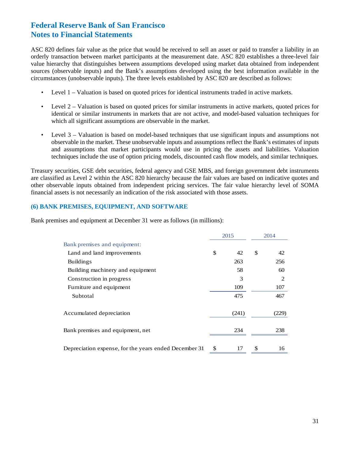ASC 820 defines fair value as the price that would be received to sell an asset or paid to transfer a liability in an orderly transaction between market participants at the measurement date. ASC 820 establishes a three-level fair value hierarchy that distinguishes between assumptions developed using market data obtained from independent sources (observable inputs) and the Bank's assumptions developed using the best information available in the circumstances (unobservable inputs). The three levels established by ASC 820 are described as follows:

- Level 1 Valuation is based on quoted prices for identical instruments traded in active markets.
- Level 2 Valuation is based on quoted prices for similar instruments in active markets, quoted prices for identical or similar instruments in markets that are not active, and model-based valuation techniques for which all significant assumptions are observable in the market.
- Level 3 Valuation is based on model-based techniques that use significant inputs and assumptions not observable in the market. These unobservable inputs and assumptions reflect the Bank's estimates of inputs and assumptions that market participants would use in pricing the assets and liabilities. Valuation techniques include the use of option pricing models, discounted cash flow models, and similar techniques*.*

Treasury securities, GSE debt securities, federal agency and GSE MBS, and foreign government debt instruments are classified as Level 2 within the ASC 820 hierarchy because the fair values are based on indicative quotes and other observable inputs obtained from independent pricing services. The fair value hierarchy level of SOMA financial assets is not necessarily an indication of the risk associated with those assets.

#### **(6) BANK PREMISES, EQUIPMENT, AND SOFTWARE**

Bank premises and equipment at December 31 were as follows (in millions):

|                                                       | 2015     | 2014     |
|-------------------------------------------------------|----------|----------|
| Bank premises and equipment:                          |          |          |
| Land and land improvements                            | \$<br>42 | \$<br>42 |
| <b>Buildings</b>                                      | 263      | 256      |
| Building machinery and equipment                      | 58       | 60       |
| Construction in progress                              | 3        | 2        |
| Furniture and equipment                               | 109      | 107      |
| Subtotal                                              | 475      | 467      |
| Accumulated depreciation                              | (241)    | (229)    |
| Bank premises and equipment, net                      | 234      | 238      |
| Depreciation expense, for the years ended December 31 | \$<br>17 | \$<br>16 |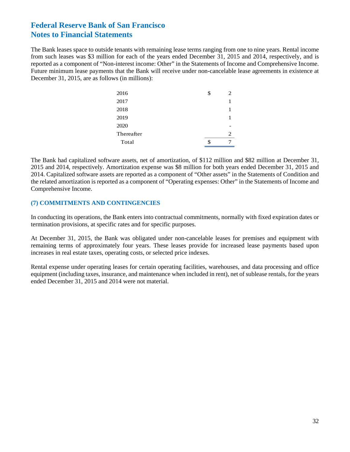The Bank leases space to outside tenants with remaining lease terms ranging from one to nine years. Rental income from such leases was \$3 million for each of the years ended December 31, 2015 and 2014, respectively, and is reported as a component of "Non-interest income: Other" in the Statements of Income and Comprehensive Income. Future minimum lease payments that the Bank will receive under non-cancelable lease agreements in existence at December 31, 2015, are as follows (in millions):

| 2016       | \$ | $\mathcal{D}_{\mathcal{L}}$ |
|------------|----|-----------------------------|
| 2017       |    |                             |
| 2018       |    |                             |
| 2019       |    |                             |
| 2020       |    |                             |
| Thereafter |    | $\mathcal{D}_{\mathcal{L}}$ |
| Total      | S  |                             |

The Bank had capitalized software assets, net of amortization, of \$112 million and \$82 million at December 31, 2015 and 2014, respectively. Amortization expense was \$8 million for both years ended December 31, 2015 and 2014. Capitalized software assets are reported as a component of "Other assets" in the Statements of Condition and the related amortization is reported as a component of "Operating expenses: Other" in the Statements of Income and Comprehensive Income.

#### **(7) COMMITMENTS AND CONTINGENCIES**

In conducting its operations, the Bank enters into contractual commitments, normally with fixed expiration dates or termination provisions, at specific rates and for specific purposes.

At December 31, 2015, the Bank was obligated under non-cancelable leases for premises and equipment with remaining terms of approximately four years. These leases provide for increased lease payments based upon increases in real estate taxes, operating costs, or selected price indexes.

Rental expense under operating leases for certain operating facilities, warehouses, and data processing and office equipment (including taxes, insurance, and maintenance when included in rent), net of sublease rentals, for the years ended December 31, 2015 and 2014 were not material.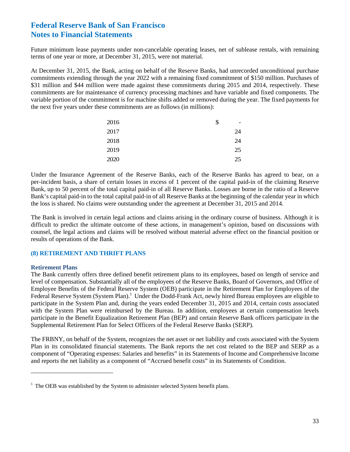Future minimum lease payments under non-cancelable operating leases, net of sublease rentals, with remaining terms of one year or more, at December 31, 2015, were not material.

At December 31, 2015, the Bank, acting on behalf of the Reserve Banks, had unrecorded unconditional purchase commitments extending through the year 2022 with a remaining fixed commitment of \$150 million. Purchases of \$31 million and \$44 million were made against these commitments during 2015 and 2014, respectively. These commitments are for maintenance of currency processing machines and have variable and fixed components. The variable portion of the commitment is for machine shifts added or removed during the year. The fixed payments for the next five years under these commitments are as follows (in millions):

| 2016 | \$<br>- |
|------|---------|
| 2017 | 24      |
| 2018 | 24      |
| 2019 | 25      |
| 2020 | 25      |

Under the Insurance Agreement of the Reserve Banks, each of the Reserve Banks has agreed to bear, on a per-incident basis, a share of certain losses in excess of 1 percent of the capital paid-in of the claiming Reserve Bank, up to 50 percent of the total capital paid-in of all Reserve Banks. Losses are borne in the ratio of a Reserve Bank's capital paid-in to the total capital paid-in of all Reserve Banks at the beginning of the calendar year in which the loss is shared. No claims were outstanding under the agreement at December 31, 2015 and 2014.

The Bank is involved in certain legal actions and claims arising in the ordinary course of business. Although it is difficult to predict the ultimate outcome of these actions, in management's opinion, based on discussions with counsel, the legal actions and claims will be resolved without material adverse effect on the financial position or results of operations of the Bank.

#### **(8) RETIREMENT AND THRIFT PLANS**

#### **Retirement Plans**

 $\overline{\phantom{a}}$ 

The Bank currently offers three defined benefit retirement plans to its employees, based on length of service and level of compensation. Substantially all of the employees of the Reserve Banks, Board of Governors, and Office of Employee Benefits of the Federal Reserve System (OEB) participate in the Retirement Plan for Employees of the Federal Reserve System (System Plan).<sup>1</sup> Under the Dodd-Frank Act, newly hired Bureau employees are eligible to participate in the System Plan and, during the years ended December 31, 2015 and 2014, certain costs associated with the System Plan were reimbursed by the Bureau. In addition, employees at certain compensation levels participate in the Benefit Equalization Retirement Plan (BEP) and certain Reserve Bank officers participate in the Supplemental Retirement Plan for Select Officers of the Federal Reserve Banks (SERP).

The FRBNY, on behalf of the System, recognizes the net asset or net liability and costs associated with the System Plan in its consolidated financial statements. The Bank reports the net cost related to the BEP and SERP as a component of "Operating expenses: Salaries and benefits" in its Statements of Income and Comprehensive Income and reports the net liability as a component of "Accrued benefit costs" in its Statements of Condition.

 $<sup>1</sup>$  The OEB was established by the System to administer selected System benefit plans.</sup>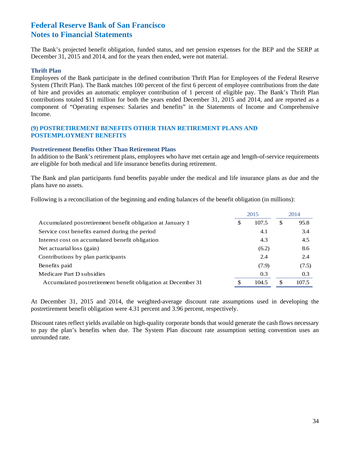The Bank's projected benefit obligation, funded status, and net pension expenses for the BEP and the SERP at December 31, 2015 and 2014, and for the years then ended, were not material.

#### **Thrift Plan**

Employees of the Bank participate in the defined contribution Thrift Plan for Employees of the Federal Reserve System (Thrift Plan). The Bank matches 100 percent of the first 6 percent of employee contributions from the date of hire and provides an automatic employer contribution of 1 percent of eligible pay. The Bank's Thrift Plan contributions totaled \$11 million for both the years ended December 31, 2015 and 2014, and are reported as a component of "Operating expenses: Salaries and benefits" in the Statements of Income and Comprehensive Income.

#### **(9) POSTRETIREMENT BENEFITS OTHER THAN RETIREMENT PLANS AND POSTEMPLOYMENT BENEFITS**

#### **Postretirement Benefits Other Than Retirement Plans**

In addition to the Bank's retirement plans, employees who have met certain age and length-of-service requirements are eligible for both medical and life insurance benefits during retirement.

The Bank and plan participants fund benefits payable under the medical and life insurance plans as due and the plans have no assets.

Following is a reconciliation of the beginning and ending balances of the benefit obligation (in millions):

|                                                              | 2015        |     | 2014  |
|--------------------------------------------------------------|-------------|-----|-------|
| Accumulated postretirement benefit obligation at January 1   | \$<br>107.5 | \$  | 95.8  |
| Service cost benefits earned during the period               | 4.1         |     | 3.4   |
| Interest cost on accumulated benefit obligation              | 4.3         |     | 4.5   |
| Net actuarial loss (gain)                                    | (6.2)       |     | 8.6   |
| Contributions by plan participants                           | 2.4         |     | 2.4   |
| Benefits paid                                                | (7.9)       |     | (7.5) |
| Medicare Part D subsidies                                    | 0.3         |     | 0.3   |
| Accumulated postretirement benefit obligation at December 31 | 104.5       | \$. | 107.5 |

At December 31, 2015 and 2014, the weighted-average discount rate assumptions used in developing the postretirement benefit obligation were 4.31 percent and 3.96 percent, respectively.

Discount rates reflect yields available on high-quality corporate bonds that would generate the cash flows necessary to pay the plan's benefits when due. The System Plan discount rate assumption setting convention uses an unrounded rate.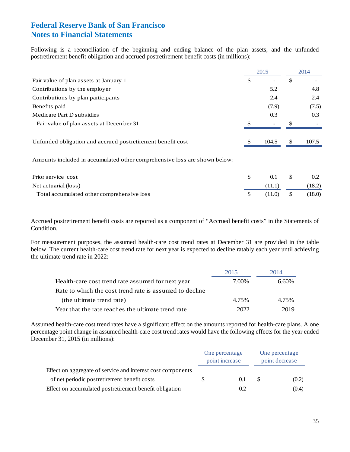Following is a reconciliation of the beginning and ending balance of the plan assets, and the unfunded postretirement benefit obligation and accrued postretirement benefit costs (in millions):

|                                                                           | 2015                     |               | 2014  |
|---------------------------------------------------------------------------|--------------------------|---------------|-------|
| Fair value of plan assets at January 1                                    | \$<br>۰                  | \$            |       |
| Contributions by the employer                                             | 5.2                      |               | 4.8   |
| Contributions by plan participants                                        | 2.4                      |               | 2.4   |
| Benefits paid                                                             | (7.9)                    |               | (7.5) |
| Medicare Part D subsidies                                                 | 0.3                      |               | 0.3   |
| Fair value of plan assets at December 31                                  | $\overline{\phantom{a}}$ | \$            |       |
| Unfunded obligation and accrued postretirement benefit cost               | 104.5                    | <sup>\$</sup> | 107.5 |
| Amounts included in accumulated other comprehensive loss are shown below: |                          |               |       |

| Prior service cost                         | 0.1    |     |        |
|--------------------------------------------|--------|-----|--------|
| Net actuarial (loss)                       | (11.1) |     | (18.2) |
| Total accumulated other comprehensive loss | (11.0) | S S | (18.0) |

Accrued postretirement benefit costs are reported as a component of "Accrued benefit costs" in the Statements of Condition.

For measurement purposes, the assumed health-care cost trend rates at December 31 are provided in the table below. The current health-care cost trend rate for next year is expected to decline ratably each year until achieving the ultimate trend rate in 2022:

|                                                         | 2015  | 2014     |
|---------------------------------------------------------|-------|----------|
| Health-care cost trend rate assumed for next year       | 7.00% | $6.60\%$ |
| Rate to which the cost trend rate is assumed to decline |       |          |
| (the ultimate trend rate)                               | 4.75% | 4.75%    |
| Year that the rate reaches the ultimate trend rate      | 2022. | 2019     |

Assumed health-care cost trend rates have a significant effect on the amounts reported for health-care plans. A one percentage point change in assumed health-care cost trend rates would have the following effects for the year ended December 31, 2015 (in millions):

|                                                             | One percentage<br>point increase |     | One percentage<br>point decrease |       |
|-------------------------------------------------------------|----------------------------------|-----|----------------------------------|-------|
| Effect on aggregate of service and interest cost components |                                  |     |                                  |       |
| of net periodic postretirement benefit costs                |                                  | 0.1 | £.                               | (0.2) |
| Effect on accumulated postretirement benefit obligation     |                                  | 0.2 |                                  | (0.4) |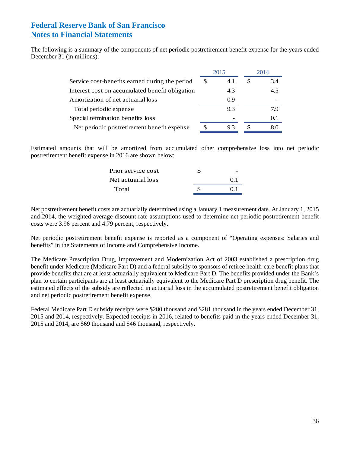The following is a summary of the components of net periodic postretirement benefit expense for the years ended December 31 (in millions):

|                                                 | 2015 |     | 2014 |     |
|-------------------------------------------------|------|-----|------|-----|
| Service cost-benefits earned during the period  | S.   | 4.1 | S    | 3.4 |
| Interest cost on accumulated benefit obligation |      | 4.3 |      | 4.5 |
| Amortization of net actuarial loss              |      | 0.9 |      |     |
| Total periodic expense                          |      | 9.3 |      | 79  |
| Special termination benefits loss               |      |     |      | 0.1 |
| Net periodic postretirement benefit expense     | S    | 9.3 |      | 80  |

Estimated amounts that will be amortized from accumulated other comprehensive loss into net periodic postretirement benefit expense in 2016 are shown below:

| Prior service cost |                 |
|--------------------|-----------------|
| Net actuarial loss | $^{\prime}$ 0 1 |
| Total              | 01              |

Net postretirement benefit costs are actuarially determined using a January 1 measurement date. At January 1, 2015 and 2014, the weighted-average discount rate assumptions used to determine net periodic postretirement benefit costs were 3.96 percent and 4.79 percent, respectively.

Net periodic postretirement benefit expense is reported as a component of "Operating expenses: Salaries and benefits" in the Statements of Income and Comprehensive Income.

The Medicare Prescription Drug, Improvement and Modernization Act of 2003 established a prescription drug benefit under Medicare (Medicare Part D) and a federal subsidy to sponsors of retiree health-care benefit plans that provide benefits that are at least actuarially equivalent to Medicare Part D. The benefits provided under the Bank's plan to certain participants are at least actuarially equivalent to the Medicare Part D prescription drug benefit. The estimated effects of the subsidy are reflected in actuarial loss in the accumulated postretirement benefit obligation and net periodic postretirement benefit expense.

Federal Medicare Part D subsidy receipts were \$280 thousand and \$281 thousand in the years ended December 31, 2015 and 2014, respectively. Expected receipts in 2016, related to benefits paid in the years ended December 31, 2015 and 2014, are \$69 thousand and \$46 thousand, respectively.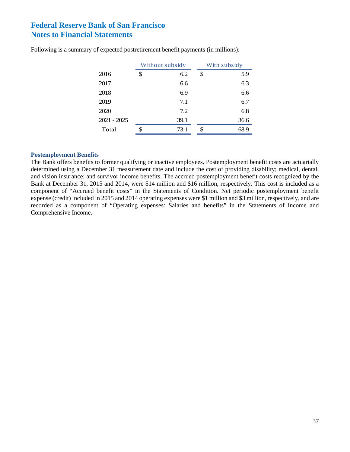|               | Without subsidy |      | With subsidy |      |
|---------------|-----------------|------|--------------|------|
| 2016          | \$              | 6.2  | \$           | 5.9  |
| 2017          |                 | 6.6  |              | 6.3  |
| 2018          |                 | 6.9  |              | 6.6  |
| 2019          |                 | 7.1  |              | 6.7  |
| 2020          |                 | 7.2  |              | 6.8  |
| $2021 - 2025$ |                 | 39.1 |              | 36.6 |
| Total         | \$              | 73.1 | \$           | 68.9 |

Following is a summary of expected postretirement benefit payments (in millions):

#### **Postemployment Benefits**

The Bank offers benefits to former qualifying or inactive employees. Postemployment benefit costs are actuarially determined using a December 31 measurement date and include the cost of providing disability; medical, dental, and vision insurance; and survivor income benefits. The accrued postemployment benefit costs recognized by the Bank at December 31, 2015 and 2014, were \$14 million and \$16 million, respectively. This cost is included as a component of "Accrued benefit costs" in the Statements of Condition. Net periodic postemployment benefit expense (credit) included in 2015 and 2014 operating expenses were \$1 million and \$3 million, respectively, and are recorded as a component of "Operating expenses: Salaries and benefits" in the Statements of Income and Comprehensive Income.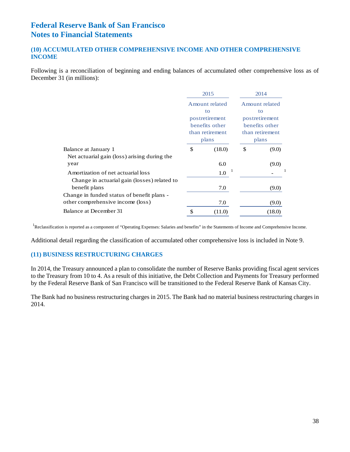#### **(10) ACCUMULATED OTHER COMPREHENSIVE INCOME AND OTHER COMPREHENSIVE INCOME**

Following is a reconciliation of beginning and ending balances of accumulated other comprehensive loss as of December 31 (in millions):

|                                              | 2015                                       |                | 2014                              |        |  |
|----------------------------------------------|--------------------------------------------|----------------|-----------------------------------|--------|--|
|                                              | Amount related                             |                | Amount related                    |        |  |
|                                              | to                                         |                | to                                |        |  |
|                                              |                                            | postretirement | postretirement                    |        |  |
|                                              | benefits other<br>than retirement<br>plans |                | benefits other<br>than retirement |        |  |
|                                              |                                            |                |                                   |        |  |
|                                              |                                            |                |                                   | plans  |  |
| Balance at January 1                         | \$                                         | (18.0)         | \$                                | (9.0)  |  |
| Net actuarial gain (loss) arising during the |                                            |                |                                   |        |  |
| year                                         |                                            | 6.0            |                                   | (9.0)  |  |
| Amortization of net actuarial loss           |                                            | -1<br>1.0      |                                   |        |  |
| Change in actuarial gain (losses) related to |                                            |                |                                   |        |  |
| benefit plans                                |                                            | 7.0            |                                   | (9.0)  |  |
| Change in funded status of benefit plans -   |                                            |                |                                   |        |  |
| other comprehensive income (loss)            |                                            | 7.0            |                                   | (9.0)  |  |
| Balance at December 31                       | \$                                         | (11.0)         |                                   | (18.0) |  |

<sup>1</sup>Reclassification is reported as a component of "Operating Expenses: Salaries and benefits" in the Statements of Income and Comprehensive Income.

Additional detail regarding the classification of accumulated other comprehensive loss is included in Note 9.

#### **(11) BUSINESS RESTRUCTURING CHARGES**

In 2014, the Treasury announced a plan to consolidate the number of Reserve Banks providing fiscal agent services to the Treasury from 10 to 4. As a result of this initiative, the Debt Collection and Payments for Treasury performed by the Federal Reserve Bank of San Francisco will be transitioned to the Federal Reserve Bank of Kansas City.

The Bank had no business restructuring charges in 2015. The Bank had no material business restructuring charges in 2014.